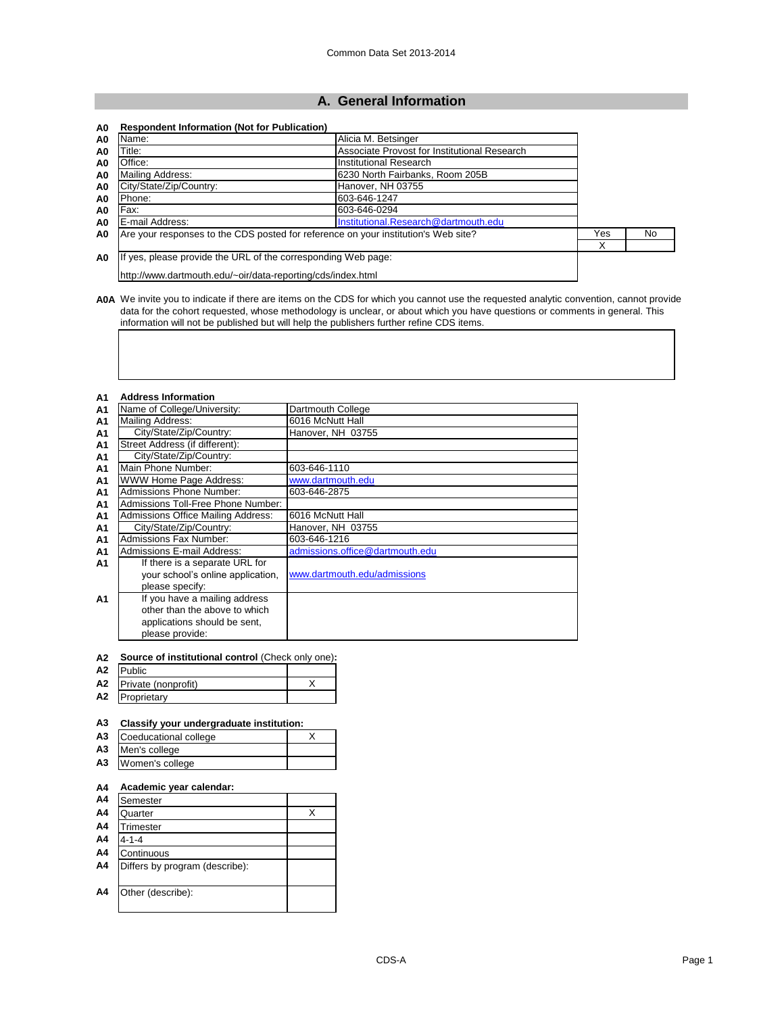## **A. General Information**

| A0 | <b>Respondent Information (Not for Publication)</b>                                |                                              |     |     |
|----|------------------------------------------------------------------------------------|----------------------------------------------|-----|-----|
| A0 | Name:                                                                              | Alicia M. Betsinger                          |     |     |
| A0 | Title:                                                                             | Associate Provost for Institutional Research |     |     |
| A0 | Office:                                                                            | Institutional Research                       |     |     |
| A0 | Mailing Address:                                                                   | 16230 North Fairbanks. Room 205B             |     |     |
| A0 | City/State/Zip/Country:                                                            | Hanover, NH 03755                            |     |     |
| A0 | Phone:                                                                             | 603-646-1247                                 |     |     |
| A0 | Fax:                                                                               | 603-646-0294                                 |     |     |
| A0 | E-mail Address:                                                                    | Institutional.Research@dartmouth.edu         |     |     |
| A0 | Are your responses to the CDS posted for reference on your institution's Web site? |                                              | Yes | No. |
|    |                                                                                    |                                              | Χ   |     |
| A0 | If yes, please provide the URL of the corresponding Web page:                      |                                              |     |     |
|    | http://www.dartmouth.edu/~oir/data-reporting/cds/index.html                        |                                              |     |     |

**A0A** We invite you to indicate if there are items on the CDS for which you cannot use the requested analytic convention, cannot provide data for the cohort requested, whose methodology is unclear, or about which you have questions or comments in general. This information will not be published but will help the publishers further refine CDS items.

## **A1 Address Information**

| Name of College/University:        | Dartmouth College               |
|------------------------------------|---------------------------------|
| <b>Mailing Address:</b>            | 6016 McNutt Hall                |
| City/State/Zip/Country:            | Hanover, NH 03755               |
| Street Address (if different):     |                                 |
| City/State/Zip/Country:            |                                 |
| Main Phone Number:                 | 603-646-1110                    |
| WWW Home Page Address:             | www.dartmouth.edu               |
| Admissions Phone Number:           | 603-646-2875                    |
| Admissions Toll-Free Phone Number: |                                 |
| Admissions Office Mailing Address: | 6016 McNutt Hall                |
| City/State/Zip/Country:            | Hanover, NH 03755               |
| Admissions Fax Number:             | 603-646-1216                    |
| Admissions E-mail Address:         | admissions.office@dartmouth.edu |
| If there is a separate URL for     |                                 |
| vour school's online application,  | www.dartmouth.edu/admissions    |
| please specify:                    |                                 |
| If you have a mailing address      |                                 |
| other than the above to which      |                                 |
| applications should be sent,       |                                 |
| please provide:                    |                                 |
|                                    |                                 |

| A2 | <b>Source of institutional control (Check only one):</b> |  |
|----|----------------------------------------------------------|--|
| A2 | <b>Public</b>                                            |  |
|    |                                                          |  |

| A2             | Private (nonprofit) |  |
|----------------|---------------------|--|
| A <sub>2</sub> | Proprietary         |  |

| Classify your undergraduate institution: |   |
|------------------------------------------|---|
| Coeducational college                    | X |
| Men's college                            |   |
| Women's college                          |   |
| Academic year calendar:                  |   |
| Semester                                 |   |
| Quarter                                  | X |
| Trimester                                |   |
| 4-1-4                                    |   |
| Continuous                               |   |
| Differs by program (describe):           |   |
| Other (describe):                        |   |
|                                          |   |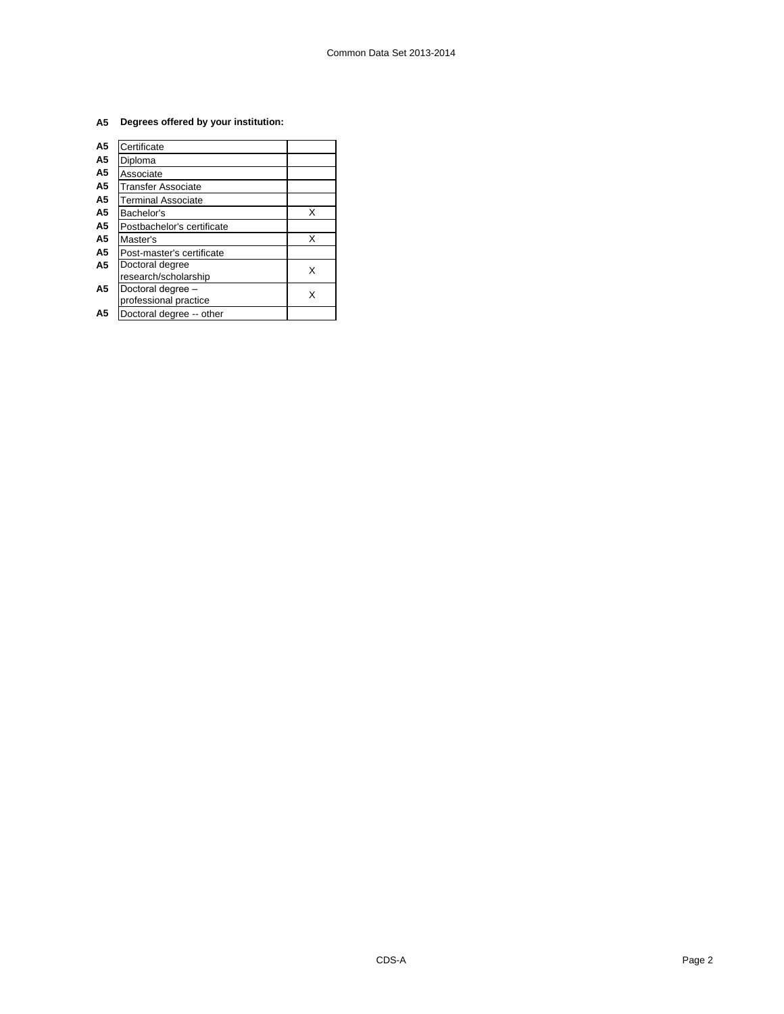## **A5 Degrees offered by your institution:**

| A5             | Certificate                |   |
|----------------|----------------------------|---|
| A5             | Diploma                    |   |
| A <sub>5</sub> | Associate                  |   |
| A5             | Transfer Associate         |   |
| A5             | <b>Terminal Associate</b>  |   |
| A5             | Bachelor's                 | х |
| A5             | Postbachelor's certificate |   |
| А5             | Master's                   | x |
| A5             | Post-master's certificate  |   |
| A5             | Doctoral degree            | x |
|                | research/scholarship       |   |
| A5             | Doctoral degree -          | x |
|                | professional practice      |   |
| А5             | Doctoral degree -- other   |   |
|                |                            |   |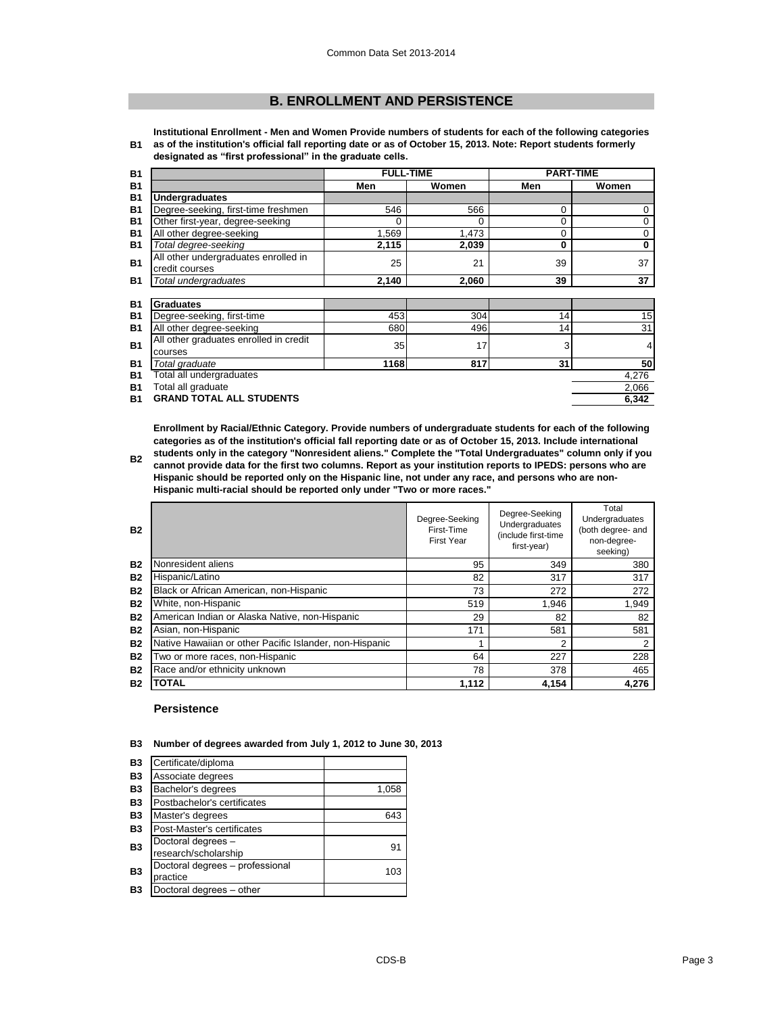## **B. ENROLLMENT AND PERSISTENCE**

**B1 Institutional Enrollment - Men and Women Provide numbers of students for each of the following categories as of the institution's official fall reporting date or as of October 15, 2013. Note: Report students formerly designated as "first professional" in the graduate cells.**

| <b>B1</b> |                                        | <b>FULL-TIME</b> |       | <b>PART-TIME</b> |          |
|-----------|----------------------------------------|------------------|-------|------------------|----------|
| <b>B1</b> |                                        | Men              | Women | Men              | Women    |
| <b>B1</b> | <b>Undergraduates</b>                  |                  |       |                  |          |
| <b>B1</b> | Degree-seeking, first-time freshmen    | 546              | 566   | 0                | 0        |
| <b>B1</b> | Other first-year, degree-seeking       | $\Omega$         | 0     | 0                | 0        |
| <b>B1</b> | All other degree-seeking               | 1,569            | 1,473 | 0                | 0        |
| <b>B1</b> | Total degree-seeking                   | 2,115            | 2,039 | 0                | $\bf{0}$ |
| <b>B1</b> | All other undergraduates enrolled in   | 25               | 21    | 39               | 37       |
|           | credit courses                         |                  |       |                  |          |
| <b>B1</b> | Total undergraduates                   | 2,140            | 2.060 | 39               | 37       |
|           |                                        |                  |       |                  |          |
| <b>B1</b> | <b>Graduates</b>                       |                  |       |                  |          |
| <b>B1</b> | Degree-seeking, first-time             | 453              | 304   | 14               | 15       |
| <b>B1</b> | All other degree-seeking               | 680              | 496   | 14               | 31       |
| <b>B1</b> | All other graduates enrolled in credit | 35               | 17    | 3                | 4        |
|           | courses                                |                  |       |                  |          |
| <b>B1</b> | Total graduate                         | 1168             | 817   | 31               | 50       |
| <b>B1</b> | Total all undergraduates               |                  |       |                  | 4,276    |
| <b>B1</b> | Total all graduate                     |                  |       |                  | 2,066    |
| <b>B1</b> | <b>GRAND TOTAL ALL STUDENTS</b>        |                  |       |                  | 6,342    |

**Enrollment by Racial/Ethnic Category. Provide numbers of undergraduate students for each of the following categories as of the institution's official fall reporting date or as of October 15, 2013. Include international students only in the category "Nonresident aliens." Complete the "Total Undergraduates" column only if you** 

**B2 cannot provide data for the first two columns. Report as your institution reports to IPEDS: persons who are Hispanic should be reported only on the Hispanic line, not under any race, and persons who are non-Hispanic multi-racial should be reported only under "Two or more races."** 

| <b>B2</b> |                                                         | Degree-Seeking<br>First-Time<br><b>First Year</b> | Degree-Seeking<br>Undergraduates<br>(include first-time<br>first-year) | Total<br>Undergraduates<br>(both degree- and<br>non-degree-<br>seeking) |
|-----------|---------------------------------------------------------|---------------------------------------------------|------------------------------------------------------------------------|-------------------------------------------------------------------------|
| <b>B2</b> | Nonresident aliens                                      | 95                                                | 349                                                                    | 380                                                                     |
| <b>B2</b> | Hispanic/Latino                                         | 82                                                | 317                                                                    | 317                                                                     |
| <b>B2</b> | Black or African American, non-Hispanic                 | 73                                                | 272                                                                    | 272                                                                     |
| <b>B2</b> | White, non-Hispanic                                     | 519                                               | 1.946                                                                  | 1.949                                                                   |
| <b>B2</b> | American Indian or Alaska Native, non-Hispanic          | 29                                                | 82                                                                     | 82                                                                      |
| <b>B2</b> | Asian, non-Hispanic                                     | 171                                               | 581                                                                    | 581                                                                     |
| <b>B2</b> | Native Hawaiian or other Pacific Islander, non-Hispanic | 4                                                 | 2                                                                      | 2                                                                       |
| <b>B2</b> | Two or more races, non-Hispanic                         | 64                                                | 227                                                                    | 228                                                                     |
| <b>B2</b> | Race and/or ethnicity unknown                           | 78                                                | 378                                                                    | 465                                                                     |
| <b>B2</b> | <b>TOTAL</b>                                            | 1,112                                             | 4,154                                                                  | 4,276                                                                   |

#### **Persistence**

**B3 Number of degrees awarded from July 1, 2012 to June 30, 2013**

| <b>B3</b>      | Certificate/diploma                         |       |
|----------------|---------------------------------------------|-------|
| <b>B3</b>      | Associate degrees                           |       |
| <b>B3</b>      | Bachelor's degrees                          | 1,058 |
| <b>B3</b>      | Postbachelor's certificates                 |       |
| <b>B3</b>      | Master's degrees                            | 643   |
| <b>B3</b>      | Post-Master's certificates                  |       |
| B <sub>3</sub> | Doctoral degrees -<br>research/scholarship  | 91    |
| B <sub>3</sub> | Doctoral degrees - professional<br>practice | 103   |
| <b>B3</b>      | Doctoral degrees - other                    |       |
|                |                                             |       |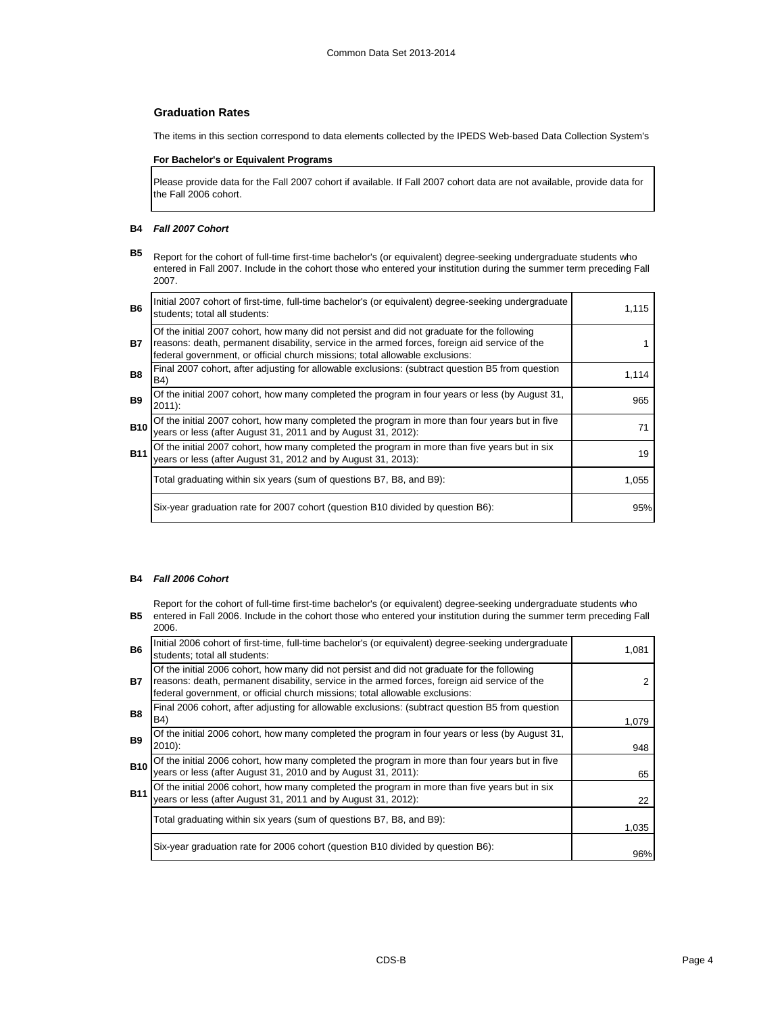## **Graduation Rates**

The items in this section correspond to data elements collected by the IPEDS Web-based Data Collection System's

## **For Bachelor's or Equivalent Programs**

Please provide data for the Fall 2007 cohort if available. If Fall 2007 cohort data are not available, provide data for the Fall 2006 cohort.

#### **B4** *Fall 2007 Cohort*

**B5** Report for the cohort of full-time first-time bachelor's (or equivalent) degree-seeking undergraduate students who entered in Fall 2007. Include in the cohort those who entered your institution during the summer term preceding Fall 2007.

| <b>B6</b>  | Initial 2007 cohort of first-time, full-time bachelor's (or equivalent) degree-seeking undergraduate<br>students; total all students:                                                                                                                                        | 1,115 |
|------------|------------------------------------------------------------------------------------------------------------------------------------------------------------------------------------------------------------------------------------------------------------------------------|-------|
| <b>B7</b>  | Of the initial 2007 cohort, how many did not persist and did not graduate for the following<br>reasons: death, permanent disability, service in the armed forces, foreign aid service of the<br>federal government, or official church missions; total allowable exclusions: |       |
| <b>B8</b>  | Final 2007 cohort, after adjusting for allowable exclusions: (subtract question B5 from question<br>B4)                                                                                                                                                                      | 1,114 |
| <b>B</b> 9 | Of the initial 2007 cohort, how many completed the program in four years or less (by August 31,<br>$2011$ :                                                                                                                                                                  | 965   |
| <b>B10</b> | Of the initial 2007 cohort, how many completed the program in more than four years but in five<br>years or less (after August 31, 2011 and by August 31, 2012):                                                                                                              | 71    |
| <b>B11</b> | Of the initial 2007 cohort, how many completed the program in more than five years but in six<br>years or less (after August 31, 2012 and by August 31, 2013):                                                                                                               | 19    |
|            | Total graduating within six years (sum of questions B7, B8, and B9):                                                                                                                                                                                                         | 1,055 |
|            | Six-year graduation rate for 2007 cohort (question B10 divided by question B6):                                                                                                                                                                                              | 95%   |

## **B4** *Fall 2006 Cohort*

Report for the cohort of full-time first-time bachelor's (or equivalent) degree-seeking undergraduate students who

**B5** entered in Fall 2006. Include in the cohort those who entered your institution during the summer term preceding Fall 2006.

| <b>B6</b>      | Initial 2006 cohort of first-time, full-time bachelor's (or equivalent) degree-seeking undergraduate<br>students; total all students:                                                                                                                                        | 1.081 |
|----------------|------------------------------------------------------------------------------------------------------------------------------------------------------------------------------------------------------------------------------------------------------------------------------|-------|
| <b>B7</b>      | Of the initial 2006 cohort, how many did not persist and did not graduate for the following<br>reasons: death, permanent disability, service in the armed forces, foreign aid service of the<br>federal government, or official church missions; total allowable exclusions: |       |
| B <sub>8</sub> | Final 2006 cohort, after adjusting for allowable exclusions: (subtract question B5 from question<br>B4)                                                                                                                                                                      | 1.079 |
| <b>B9</b>      | Of the initial 2006 cohort, how many completed the program in four years or less (by August 31,<br>$2010$ :                                                                                                                                                                  | 948   |
| <b>B10</b>     | Of the initial 2006 cohort, how many completed the program in more than four years but in five<br>years or less (after August 31, 2010 and by August 31, 2011):                                                                                                              | 65    |
| <b>B11</b>     | Of the initial 2006 cohort, how many completed the program in more than five years but in six years or less (after August 31, 2011 and by August 31, 2012):                                                                                                                  | 22    |
|                | Total graduating within six years (sum of questions B7, B8, and B9):                                                                                                                                                                                                         | 1,035 |
|                | Six-year graduation rate for 2006 cohort (question B10 divided by question B6):                                                                                                                                                                                              | 96%   |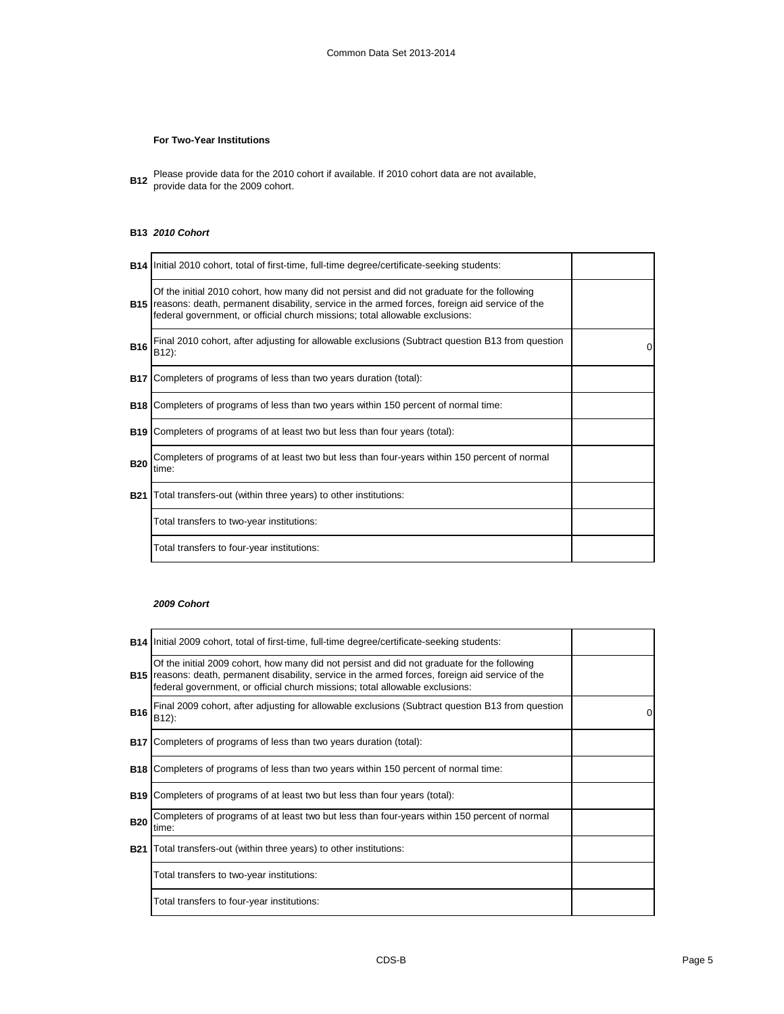## **For Two-Year Institutions**

**B12** Please provide data for the 2010 cohort if available. If 2010 cohort data are not available,<br>**B12** arough data for the 2000 sebert provide data for the 2009 cohort.

## **B13** *2010 Cohort*

|            | <b>B14</b> Initial 2010 cohort, total of first-time, full-time degree/certificate-seeking students:                                                                                                                                                                                     |   |
|------------|-----------------------------------------------------------------------------------------------------------------------------------------------------------------------------------------------------------------------------------------------------------------------------------------|---|
|            | Of the initial 2010 cohort, how many did not persist and did not graduate for the following<br><b>B15</b> reasons: death, permanent disability, service in the armed forces, foreign aid service of the<br>federal government, or official church missions; total allowable exclusions: |   |
| <b>B16</b> | Final 2010 cohort, after adjusting for allowable exclusions (Subtract question B13 from question<br>B12):                                                                                                                                                                               | 0 |
|            | <b>B17</b> Completers of programs of less than two years duration (total):                                                                                                                                                                                                              |   |
|            | <b>B18</b> Completers of programs of less than two years within 150 percent of normal time:                                                                                                                                                                                             |   |
|            | <b>B19</b> Completers of programs of at least two but less than four years (total):                                                                                                                                                                                                     |   |
| <b>B20</b> | Completers of programs of at least two but less than four-years within 150 percent of normal<br>time:                                                                                                                                                                                   |   |
| <b>B21</b> | Total transfers-out (within three years) to other institutions:                                                                                                                                                                                                                         |   |
|            | Total transfers to two-year institutions:                                                                                                                                                                                                                                               |   |
|            | Total transfers to four-year institutions:                                                                                                                                                                                                                                              |   |

## *2009 Cohort*

|            | <b>B14</b> Initial 2009 cohort, total of first-time, full-time degree/certificate-seeking students:                                                                                                                                                                                     |   |
|------------|-----------------------------------------------------------------------------------------------------------------------------------------------------------------------------------------------------------------------------------------------------------------------------------------|---|
|            | Of the initial 2009 cohort, how many did not persist and did not graduate for the following<br><b>B15</b> reasons: death, permanent disability, service in the armed forces, foreign aid service of the<br>federal government, or official church missions; total allowable exclusions: |   |
| <b>B16</b> | Final 2009 cohort, after adjusting for allowable exclusions (Subtract question B13 from question<br>B12):                                                                                                                                                                               | 0 |
|            | <b>B17</b> Completers of programs of less than two years duration (total):                                                                                                                                                                                                              |   |
|            | <b>B18</b> Completers of programs of less than two years within 150 percent of normal time:                                                                                                                                                                                             |   |
|            | <b>B19</b> Completers of programs of at least two but less than four years (total):                                                                                                                                                                                                     |   |
| <b>B20</b> | Completers of programs of at least two but less than four-years within 150 percent of normal<br>time:                                                                                                                                                                                   |   |
|            | <b>B21</b> Total transfers-out (within three years) to other institutions:                                                                                                                                                                                                              |   |
|            | Total transfers to two-year institutions:                                                                                                                                                                                                                                               |   |
|            | Total transfers to four-year institutions:                                                                                                                                                                                                                                              |   |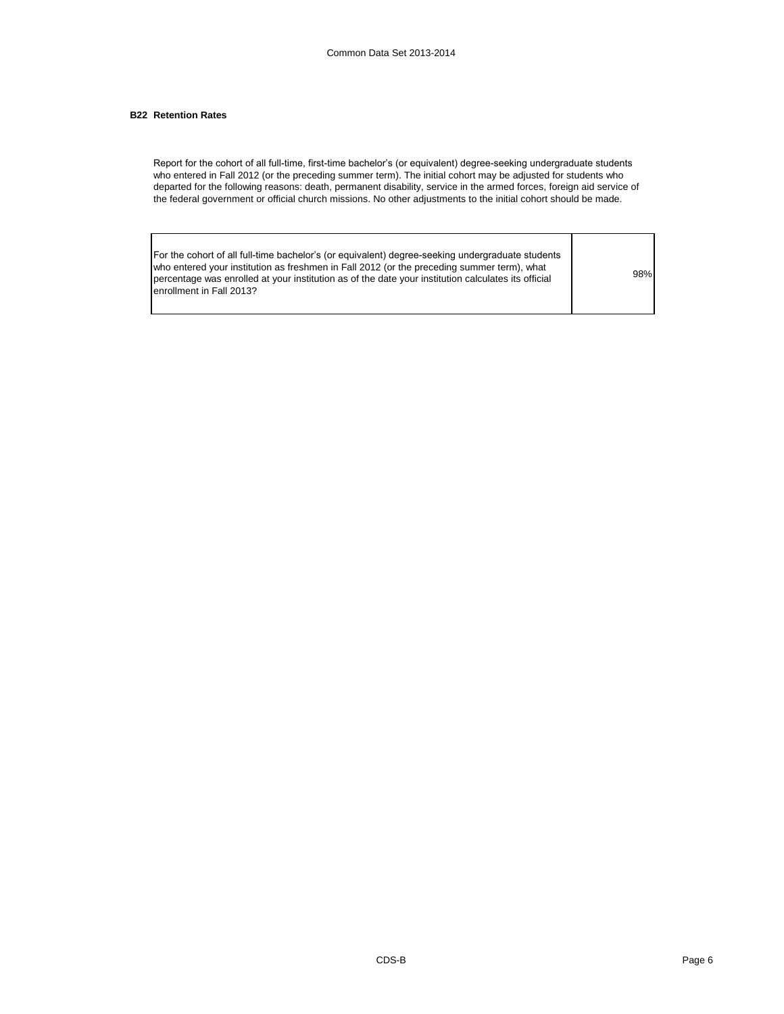## **B22 Retention Rates**

Report for the cohort of all full-time, first-time bachelor's (or equivalent) degree-seeking undergraduate students who entered in Fall 2012 (or the preceding summer term). The initial cohort may be adjusted for students who departed for the following reasons: death, permanent disability, service in the armed forces, foreign aid service of the federal government or official church missions. No other adjustments to the initial cohort should be made.

| For the cohort of all full-time bachelor's (or equivalent) degree-seeking undergraduate students<br>who entered your institution as freshmen in Fall 2012 (or the preceding summer term), what |     |
|------------------------------------------------------------------------------------------------------------------------------------------------------------------------------------------------|-----|
| percentage was enrolled at your institution as of the date your institution calculates its official                                                                                            | 98% |
| lenrollment in Fall 2013?                                                                                                                                                                      |     |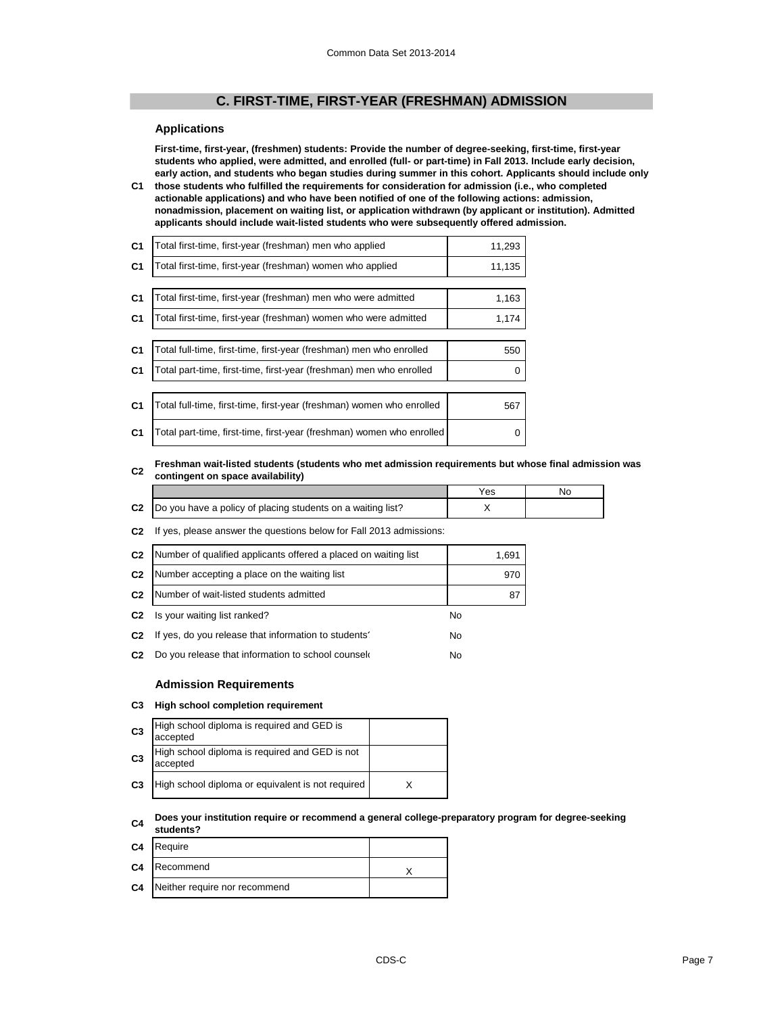## **C. FIRST-TIME, FIRST-YEAR (FRESHMAN) ADMISSION**

## **Applications**

**First-time, first-year, (freshmen) students: Provide the number of degree-seeking, first-time, first-year students who applied, were admitted, and enrolled (full- or part-time) in Fall 2013. Include early decision, early action, and students who began studies during summer in this cohort. Applicants should include only** 

**C1 those students who fulfilled the requirements for consideration for admission (i.e., who completed actionable applications) and who have been notified of one of the following actions: admission, nonadmission, placement on waiting list, or application withdrawn (by applicant or institution). Admitted applicants should include wait-listed students who were subsequently offered admission.**

| C <sub>1</sub> | Total first-time, first-year (freshman) men who applied               | 11,293 |
|----------------|-----------------------------------------------------------------------|--------|
| C <sub>1</sub> | Total first-time, first-year (freshman) women who applied             | 11,135 |
|                |                                                                       |        |
| C <sub>1</sub> | Total first-time, first-year (freshman) men who were admitted         | 1,163  |
| C <sub>1</sub> | Total first-time, first-year (freshman) women who were admitted       | 1,174  |
|                |                                                                       |        |
| C <sub>1</sub> | Total full-time, first-time, first-year (freshman) men who enrolled   | 550    |
| C <sub>1</sub> | Total part-time, first-time, first-year (freshman) men who enrolled   | 0      |
|                |                                                                       |        |
| C <sub>1</sub> | Total full-time, first-time, first-year (freshman) women who enrolled | 567    |
| C <sub>1</sub> | Total part-time, first-time, first-year (freshman) women who enrolled |        |

#### **C2 Freshman wait-listed students (students who met admission requirements but whose final admission was contingent on space availability)**

|                                                                 | es | NC |
|-----------------------------------------------------------------|----|----|
| C2  Do you have a policy of placing students on a waiting list? |    |    |

#### **C2** If yes, please answer the questions below for Fall 2013 admissions:

| C <sub>2</sub> | Number of qualified applicants offered a placed on waiting list | 1,691     |
|----------------|-----------------------------------------------------------------|-----------|
| C <sub>2</sub> | Number accepting a place on the waiting list                    | 970       |
| C <sub>2</sub> | Number of wait-listed students admitted                         | 87        |
| C <sub>2</sub> | Is your waiting list ranked?                                    | <b>No</b> |
| C <sub>2</sub> | If yes, do you release that information to students'            | No        |
| C <sub>2</sub> | Do you release that information to school counsel               | No        |
|                |                                                                 |           |

### **Admission Requirements**

#### **C3 High school completion requirement**

| C <sub>3</sub> | High school diploma is required and GED is<br>accepted     |  |
|----------------|------------------------------------------------------------|--|
| C <sub>3</sub> | High school diploma is required and GED is not<br>accepted |  |
| C <sub>3</sub> | High school diploma or equivalent is not required          |  |

#### **C4 Does your institution require or recommend a general college-preparatory program for degree-seeking students?**

| C4 Require                              |  |
|-----------------------------------------|--|
| C4 Recommend                            |  |
| <b>C4</b> Neither require nor recommend |  |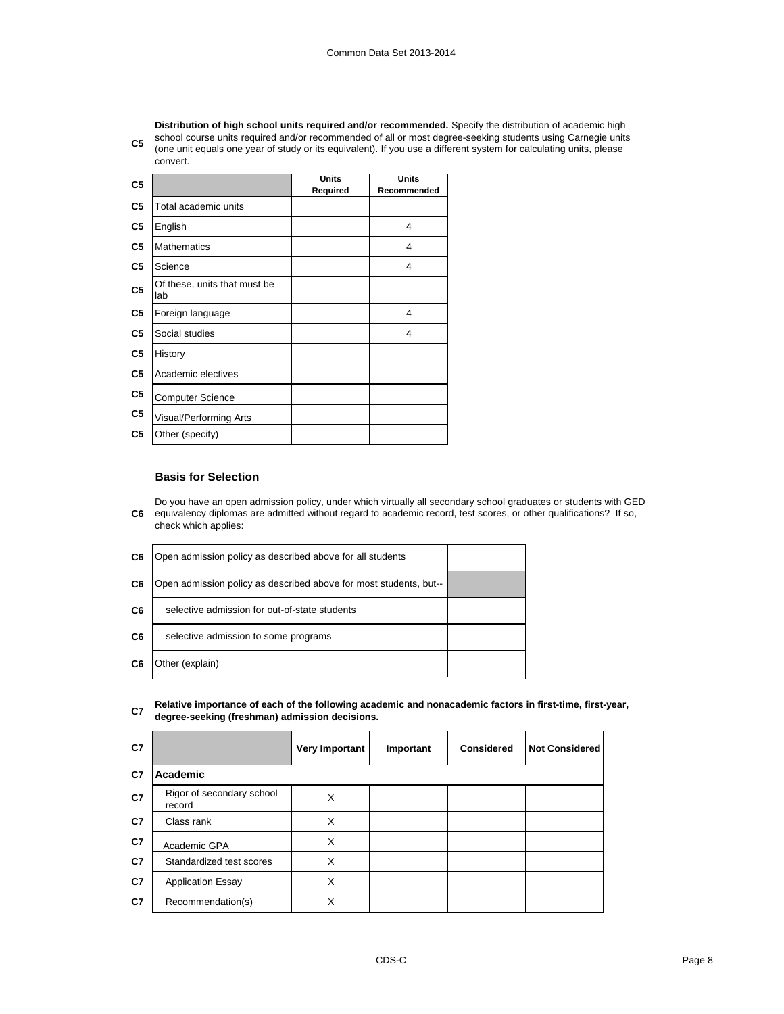**C5** school course units required and/or recommended of all or most degree-seeking students using Carnegie units and the study or its equivalent). If you use a different pusher for equivalent a place **Distribution of high school units required and/or recommended.** Specify the distribution of academic high (one unit equals one year of study or its equivalent). If you use a different system for calculating units, please convert.

| C <sub>5</sub> |                                     | <b>Units</b><br>Required | <b>Units</b><br>Recommended |
|----------------|-------------------------------------|--------------------------|-----------------------------|
| C <sub>5</sub> | Total academic units                |                          |                             |
| C5             | English                             |                          | 4                           |
| C <sub>5</sub> | <b>Mathematics</b>                  |                          | 4                           |
| C <sub>5</sub> | Science                             |                          | 4                           |
| C <sub>5</sub> | Of these, units that must be<br>lab |                          |                             |
| C <sub>5</sub> | Foreign language                    |                          | 4                           |
| C <sub>5</sub> | Social studies                      |                          | 4                           |
| C <sub>5</sub> | History                             |                          |                             |
| C5             | Academic electives                  |                          |                             |
| C <sub>5</sub> | <b>Computer Science</b>             |                          |                             |
| C <sub>5</sub> | Visual/Performing Arts              |                          |                             |
| C5             | Other (specify)                     |                          |                             |

## **Basis for Selection**

**C6** Do you have an open admission policy, under which virtually all secondary school graduates or students with GED equivalency diplomas are admitted without regard to academic record, test scores, or other qualifications? If so, check which applies:

| C6 | Open admission policy as described above for all students         |  |
|----|-------------------------------------------------------------------|--|
| C6 | Open admission policy as described above for most students, but-- |  |
| C6 | selective admission for out-of-state students                     |  |
| C6 | selective admission to some programs                              |  |
| C6 | Other (explain)                                                   |  |

#### **C7 Relative importance of each of the following academic and nonacademic factors in first-time, first-year, degree-seeking (freshman) admission decisions.**

| C7 |                                     | <b>Very Important</b> | Important | <b>Considered</b> | <b>Not Considered</b> |
|----|-------------------------------------|-----------------------|-----------|-------------------|-----------------------|
| C7 | Academic                            |                       |           |                   |                       |
| C7 | Rigor of secondary school<br>record | X                     |           |                   |                       |
| C7 | Class rank                          | X                     |           |                   |                       |
| C7 | Academic GPA                        | X                     |           |                   |                       |
| C7 | Standardized test scores            | X                     |           |                   |                       |
| C7 | <b>Application Essay</b>            | X                     |           |                   |                       |
| C7 | Recommendation(s)                   | X                     |           |                   |                       |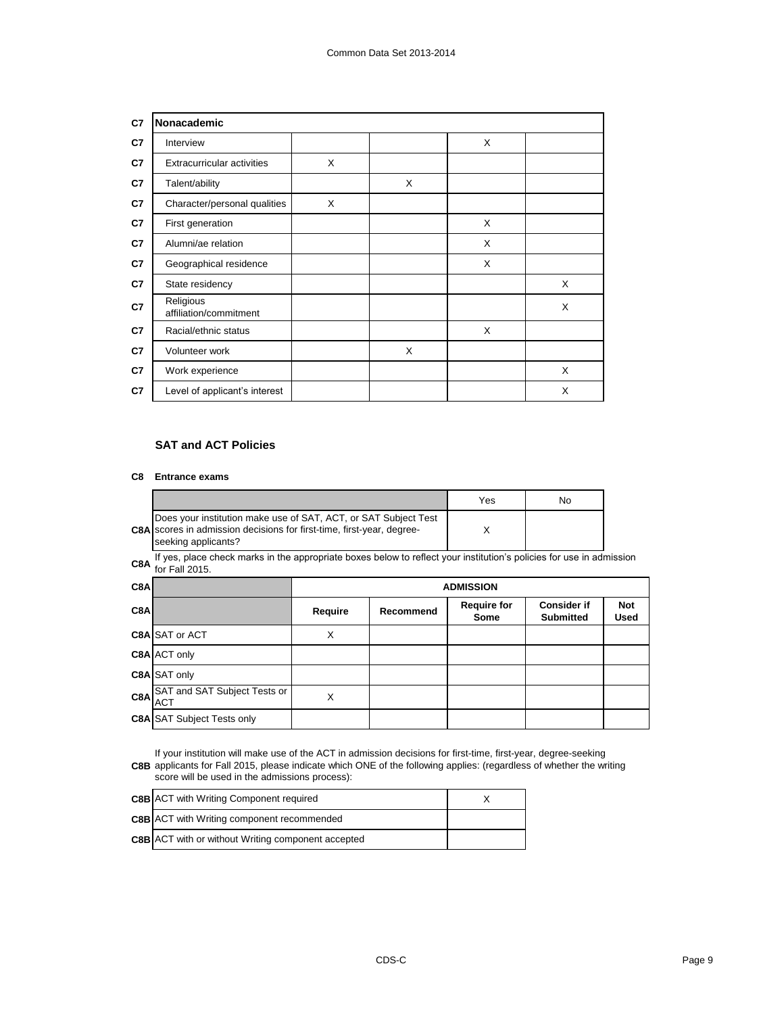| C7 | Nonacademic                         |   |   |   |   |
|----|-------------------------------------|---|---|---|---|
| C7 | Interview                           |   |   | X |   |
| C7 | <b>Extracurricular activities</b>   | X |   |   |   |
| C7 | Talent/ability                      |   | X |   |   |
| C7 | Character/personal qualities        | X |   |   |   |
| C7 | First generation                    |   |   | X |   |
| C7 | Alumni/ae relation                  |   |   | X |   |
| C7 | Geographical residence              |   |   | X |   |
| C7 | State residency                     |   |   |   | X |
| C7 | Religious<br>affiliation/commitment |   |   |   | X |
| C7 | Racial/ethnic status                |   |   | X |   |
| C7 | Volunteer work                      |   | X |   |   |
| C7 | Work experience                     |   |   |   | X |
| C7 | Level of applicant's interest       |   |   |   | X |

## **SAT and ACT Policies**

#### **C8 Entrance exams**

|                                                                                                                                                                        | Yes | No. |
|------------------------------------------------------------------------------------------------------------------------------------------------------------------------|-----|-----|
| Does your institution make use of SAT, ACT, or SAT Subject Test<br><b>C8A</b> scores in admission decisions for first-time, first-year, degree-<br>seeking applicants? |     |     |

**C8A** If yes, place check marks in the appropriate boxes below to reflect your institution's policies for use in admission C8A for Enll 2015 for Fall 2015.

| C8A |                                   |         | <b>ADMISSION</b> |                            |                                        |                    |
|-----|-----------------------------------|---------|------------------|----------------------------|----------------------------------------|--------------------|
| C8A |                                   | Require | Recommend        | <b>Require for</b><br>Some | <b>Consider if</b><br><b>Submitted</b> | <b>Not</b><br>Used |
|     | <b>C8A SAT or ACT</b>             | X       |                  |                            |                                        |                    |
|     | <b>C8A ACT only</b>               |         |                  |                            |                                        |                    |
|     | C8A SAT only                      |         |                  |                            |                                        |                    |
|     | C8A SAT and SAT Subject Tests or  | X       |                  |                            |                                        |                    |
|     | <b>C8A SAT Subject Tests only</b> |         |                  |                            |                                        |                    |

**C8B** applicants for Fall 2015, please indicate which ONE of the following applies: (regardless of whether the writing If your institution will make use of the ACT in admission decisions for first-time, first-year, degree-seeking score will be used in the admissions process):

| <b>C8B</b> ACT with Writing Component required            |  |
|-----------------------------------------------------------|--|
| <b>C8B</b> ACT with Writing component recommended         |  |
| <b>C8B</b> ACT with or without Writing component accepted |  |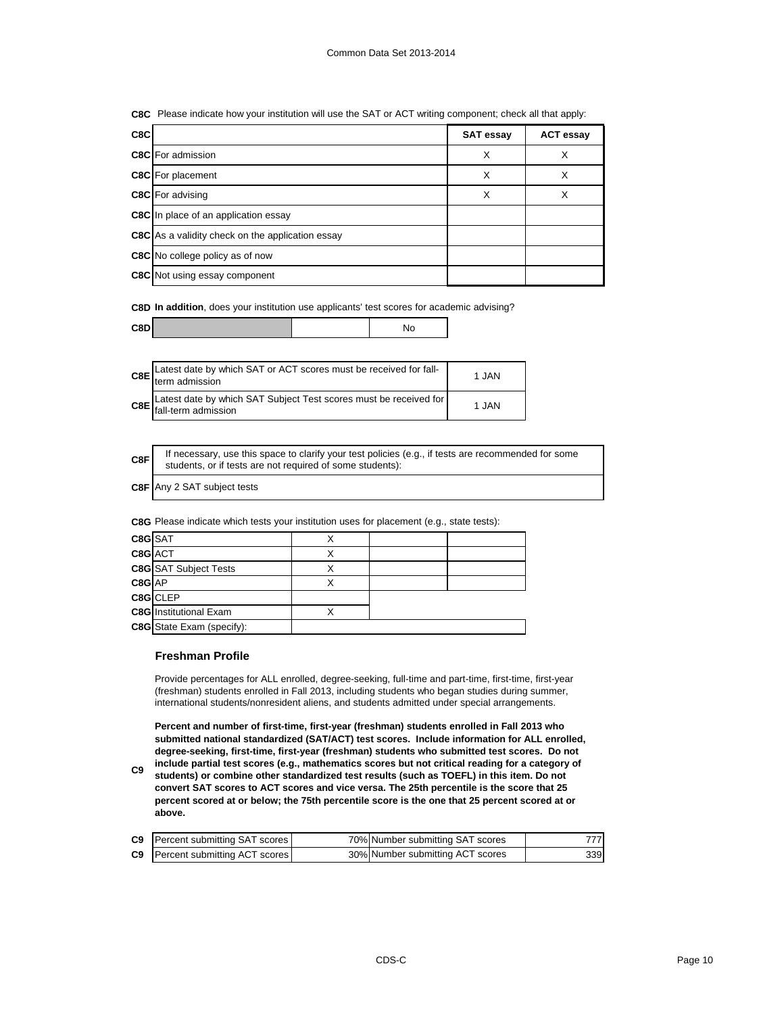| C8C Please indicate how your institution will use the SAT or ACT writing component; check all that apply: |  |  |
|-----------------------------------------------------------------------------------------------------------|--|--|
|                                                                                                           |  |  |

| C8C |                                                         | <b>SAT essay</b> | <b>ACT essay</b> |
|-----|---------------------------------------------------------|------------------|------------------|
|     | <b>C8C</b> For admission                                | X                |                  |
|     | <b>C8C</b> For placement                                | X                | X                |
|     | <b>C8C</b> For advising                                 | X                | X                |
|     | <b>C8C</b> In place of an application essay             |                  |                  |
|     | <b>C8C</b> As a validity check on the application essay |                  |                  |
|     | <b>C8C</b> No college policy as of now                  |                  |                  |
|     | <b>C8C</b> Not using essay component                    |                  |                  |

**C8D In addition**, does your institution use applicants' test scores for academic advising?

| C8E Latest date by which SAT or ACT scores must be received for fall-<br>term admission | 1 JAN |
|-----------------------------------------------------------------------------------------|-------|
| C8E Latest date by which SAT Subject Test scores must be received for                   | 1 JAN |

| C8F | If necessary, use this space to clarify your test policies (e.g., if tests are recommended for some<br>students, or if tests are not required of some students): |
|-----|------------------------------------------------------------------------------------------------------------------------------------------------------------------|
|-----|------------------------------------------------------------------------------------------------------------------------------------------------------------------|

**C8F** Any 2 SAT subject tests

**C8G** Please indicate which tests your institution uses for placement (e.g., state tests):

| C8G SAT |                                  |  |  |
|---------|----------------------------------|--|--|
| C8G ACT |                                  |  |  |
|         | <b>C8G</b> SAT Subject Tests     |  |  |
| C8G AP  |                                  |  |  |
|         | C8G CLEP                         |  |  |
|         | <b>C8G</b> Institutional Exam    |  |  |
|         | <b>C8G</b> State Exam (specify): |  |  |

## **Freshman Profile**

Provide percentages for ALL enrolled, degree-seeking, full-time and part-time, first-time, first-year (freshman) students enrolled in Fall 2013, including students who began studies during summer, international students/nonresident aliens, and students admitted under special arrangements.

**Percent and number of first-time, first-year (freshman) students enrolled in Fall 2013 who submitted national standardized (SAT/ACT) test scores. Include information for ALL enrolled, degree-seeking, first-time, first-year (freshman) students who submitted test scores. Do not** 

**C9 include partial test scores (e.g., mathematics scores but not critical reading for a category of students) or combine other standardized test results (such as TOEFL) in this item. Do not convert SAT scores to ACT scores and vice versa. The 25th percentile is the score that 25 percent scored at or below; the 75th percentile score is the one that 25 percent scored at or above.**

| <b>C9</b> Percent submitting SAT scores | 70% Number submitting SAT scores | 777 |
|-----------------------------------------|----------------------------------|-----|
| <b>C9</b> Percent submitting ACT scores | 30% Number submitting ACT scores | 339 |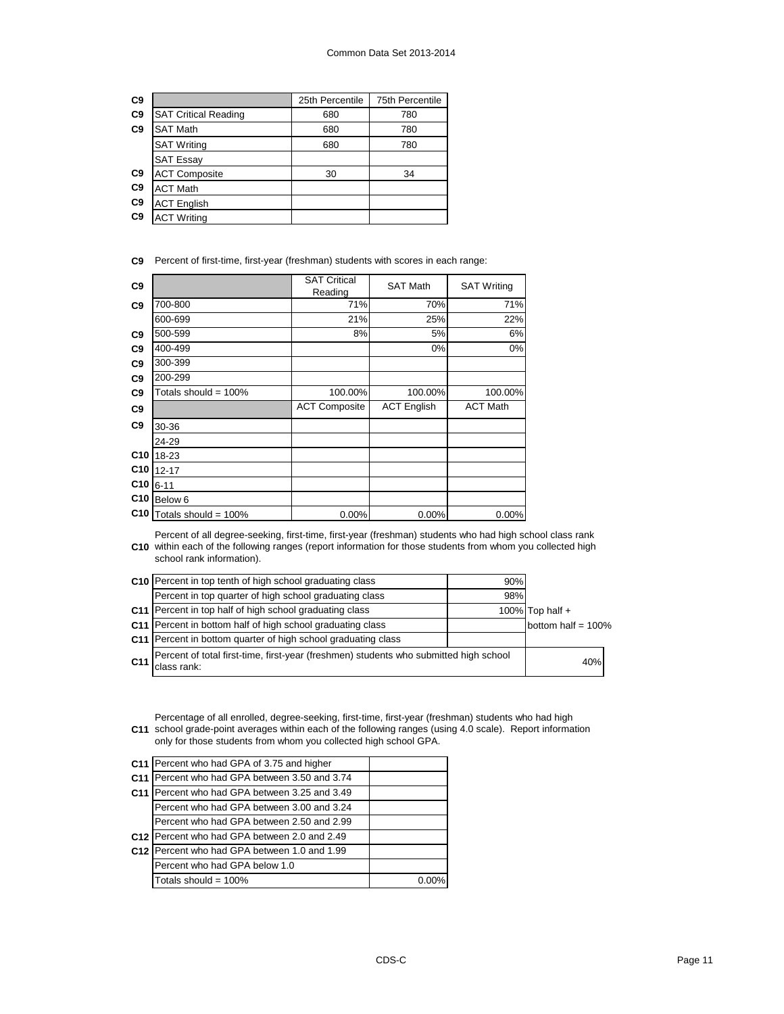| C <sub>9</sub> |                             | 25th Percentile | 75th Percentile |
|----------------|-----------------------------|-----------------|-----------------|
| C <sub>9</sub> | <b>SAT Critical Reading</b> | 680             | 780             |
| C <sub>9</sub> | <b>SAT Math</b>             | 680             | 780             |
|                | <b>SAT Writing</b>          | 680             | 780             |
|                | <b>SAT Essay</b>            |                 |                 |
| C <sub>9</sub> | <b>ACT Composite</b>        | 30              | 34              |
| C <sub>9</sub> | <b>ACT Math</b>             |                 |                 |
| C <sub>9</sub> | <b>ACT English</b>          |                 |                 |
| C <sub>9</sub> | <b>ACT Writing</b>          |                 |                 |

**C9** Percent of first-time, first-year (freshman) students with scores in each range:

| C <sub>9</sub>  |                         | <b>SAT Critical</b><br>Reading | <b>SAT Math</b>    | <b>SAT Writing</b> |
|-----------------|-------------------------|--------------------------------|--------------------|--------------------|
| C <sub>9</sub>  | 700-800                 | 71%                            | 70%                | 71%                |
|                 | 600-699                 | 21%                            | 25%                | 22%                |
| C <sub>9</sub>  | 500-599                 | 8%                             | 5%                 | 6%                 |
| C <sub>9</sub>  | 400-499                 |                                | $0\%$              | $0\%$              |
| C <sub>9</sub>  | 300-399                 |                                |                    |                    |
| C <sub>9</sub>  | 200-299                 |                                |                    |                    |
| C <sub>9</sub>  | Totals should = $100\%$ | 100.00%                        | 100.00%            | 100.00%            |
| C <sub>9</sub>  |                         | <b>ACT Composite</b>           | <b>ACT English</b> | <b>ACT Math</b>    |
| C <sub>9</sub>  | 30-36                   |                                |                    |                    |
|                 | 24-29                   |                                |                    |                    |
| C10             | 18-23                   |                                |                    |                    |
| C10             | $12 - 17$               |                                |                    |                    |
| C10             | $6 - 11$                |                                |                    |                    |
| C <sub>10</sub> | Below 6                 |                                |                    |                    |
| C10             | Totals should = 100%    | 0.00%                          | 0.00%              | 0.00%              |

**C10** within each of the following ranges (report information for those students from whom you collected high Percent of all degree-seeking, first-time, first-year (freshman) students who had high school class rank school rank information).

|                 | C10 Percent in top tenth of high school graduating class                                             | 90% |                       |
|-----------------|------------------------------------------------------------------------------------------------------|-----|-----------------------|
|                 | Percent in top quarter of high school graduating class                                               | 98% |                       |
|                 | C11 Percent in top half of high school graduating class                                              |     | 100% Top half $+$     |
|                 | C11 Percent in bottom half of high school graduating class                                           |     | bottom half = $100\%$ |
|                 | C11   Percent in bottom quarter of high school graduating class                                      |     |                       |
| C <sub>11</sub> | Percent of total first-time, first-year (freshmen) students who submitted high school<br>class rank: |     | 40%                   |

**C11** Percentage of all enrolled, degree-seeking, first-time, first-year (freshman) students who had high school grade-point averages within each of the following ranges (using 4.0 scale). Report information only for those students from whom you collected high school GPA.

| C <sub>11</sub> | Percent who had GPA of 3.75 and higher                   |       |
|-----------------|----------------------------------------------------------|-------|
| C <sub>11</sub> | Percent who had GPA between 3.50 and 3.74                |       |
| C <sub>11</sub> | Percent who had GPA between 3.25 and 3.49                |       |
|                 | Percent who had GPA between 3.00 and 3.24                |       |
|                 | Percent who had GPA between 2.50 and 2.99                |       |
|                 | C <sub>12</sub> Percent who had GPA between 2.0 and 2.49 |       |
| C <sub>12</sub> | Percent who had GPA between 1.0 and 1.99                 |       |
|                 | Percent who had GPA below 1.0                            |       |
|                 | Totals should = $100\%$                                  | 0.00% |
|                 |                                                          |       |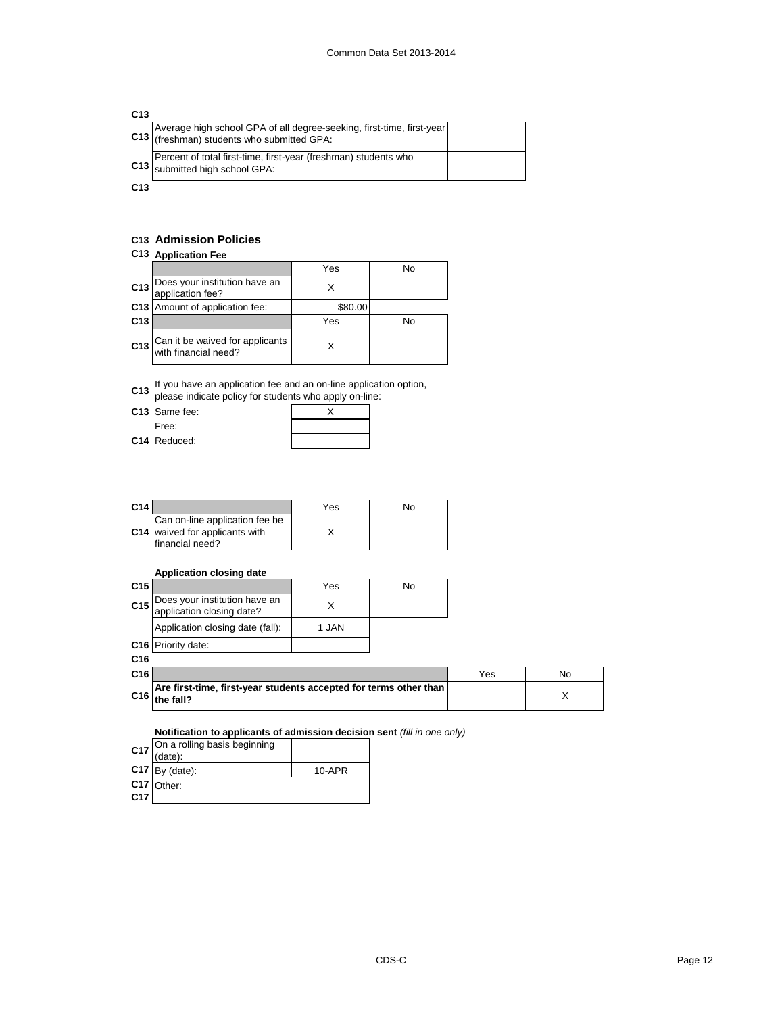| C <sub>13</sub> |                                                                                                                 |  |
|-----------------|-----------------------------------------------------------------------------------------------------------------|--|
|                 | Average high school GPA of all degree-seeking, first-time, first-year<br>(freshman) students who submitted GPA: |  |
|                 | Percent of total first-time, first-year (freshman) students who<br>Submitted high school GPA:                   |  |
| C <sub>13</sub> |                                                                                                                 |  |

## **C13 Admission Policies**

## **C13 Application Fee**

|                 | .                                                       |         |    |  |  |
|-----------------|---------------------------------------------------------|---------|----|--|--|
|                 |                                                         | Yes     | No |  |  |
|                 | C13 Does your institution have an<br>application fee?   |         |    |  |  |
|                 | C13   Amount of application fee:                        | \$80.00 |    |  |  |
| C <sub>13</sub> |                                                         | Yes     | N٥ |  |  |
| C13             | Can it be waived for applicants<br>with financial need? |         |    |  |  |

**C13** If you have an application fee and an on-line application option,

please indicate policy for students who apply on-line:

C13 Same fee: Free:

**C14** Reduced:

| nio who apply on |  |  |  |
|------------------|--|--|--|
|                  |  |  |  |
|                  |  |  |  |
|                  |  |  |  |

| C <sub>14</sub> |                                                                                     | Yes | No |
|-----------------|-------------------------------------------------------------------------------------|-----|----|
|                 | Can on-line application fee be<br>C14 waived for applicants with<br>financial need? |     |    |

## **Application closing date**

| C <sub>15</sub> |                                                                                | Yes   | No |     |     |
|-----------------|--------------------------------------------------------------------------------|-------|----|-----|-----|
| C <sub>15</sub> | Does your institution have an<br>application closing date?                     | X     |    |     |     |
|                 | Application closing date (fall):                                               | 1 JAN |    |     |     |
|                 | C <sub>16</sub> Priority date:                                                 |       |    |     |     |
| C <sub>16</sub> |                                                                                |       |    |     |     |
| C <sub>16</sub> |                                                                                |       |    | Yes | No. |
| C <sub>16</sub> | Are first-time, first-year students accepted for terms other than<br>the fall? |       |    |     | X   |
|                 | Notification to applicants of admission decision sent (fill in one only)       |       |    |     |     |

| C17             | On a rolling basis beginning<br>(date): |        |
|-----------------|-----------------------------------------|--------|
|                 | $C17$ By (date):                        | 10-APR |
|                 | C17 Other:                              |        |
| C <sub>17</sub> |                                         |        |

**C17**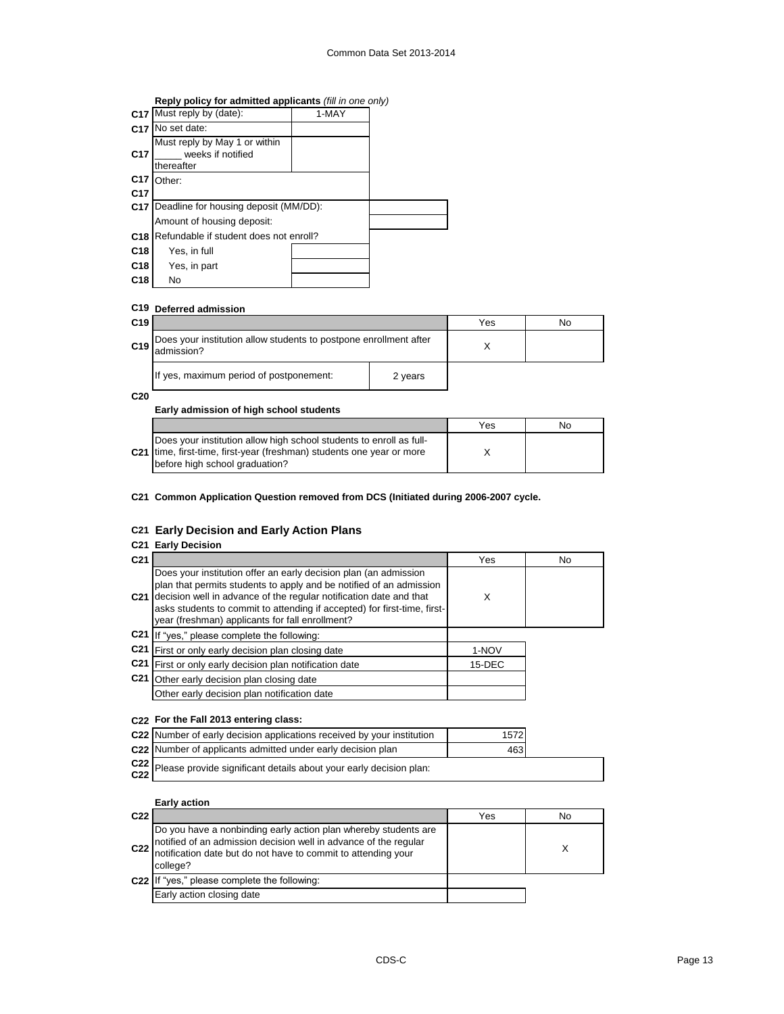## **Reply policy for admitted applicants** *(fill in one only)*

| C <sub>17</sub> | Must reply by (date):                                            | 1-MAY |  |
|-----------------|------------------------------------------------------------------|-------|--|
| C <sub>17</sub> | No set date:                                                     |       |  |
| C <sub>17</sub> | Must reply by May 1 or within<br>weeks if notified<br>thereafter |       |  |
| C <sub>17</sub> | Other:                                                           |       |  |
| C <sub>17</sub> |                                                                  |       |  |
|                 | <b>C17</b> Deadline for housing deposit (MM/DD):                 |       |  |
|                 | Amount of housing deposit:                                       |       |  |
| C <sub>18</sub> | Refundable if student does not enroll?                           |       |  |
| C <sub>18</sub> | Yes, in full                                                     |       |  |
| C <sub>18</sub> | Yes, in part                                                     |       |  |
| C <sub>18</sub> | No                                                               |       |  |

## **C19 Deferred admission**

| C <sub>19</sub> |                                                                                 |         | Yes | No |
|-----------------|---------------------------------------------------------------------------------|---------|-----|----|
| C19             | Does your institution allow students to postpone enrollment after<br>admission? |         |     |    |
|                 | If yes, maximum period of postponement:                                         | 2 years |     |    |

**C20**

## **Early admission of high school students**

|                                                                                                                                                                                            | Yes | No |
|--------------------------------------------------------------------------------------------------------------------------------------------------------------------------------------------|-----|----|
| Does your institution allow high school students to enroll as full-<br>C <sub>21</sub> time, first-time, first-year (freshman) students one year or more<br>before high school graduation? |     |    |

#### **C21 Common Application Question removed from DCS (Initiated during 2006-2007 cycle.**

#### **C21 Early Decision and Early Action Plans**

## **C21 Early Decision**

| C <sub>21</sub> |                                                                                                                                                                                                                                                                                                                                              | Yes    | No |
|-----------------|----------------------------------------------------------------------------------------------------------------------------------------------------------------------------------------------------------------------------------------------------------------------------------------------------------------------------------------------|--------|----|
| C <sub>21</sub> | Does your institution offer an early decision plan (an admission<br>plan that permits students to apply and be notified of an admission<br>decision well in advance of the regular notification date and that<br>asks students to commit to attending if accepted) for first-time, first-<br>year (freshman) applicants for fall enrollment? | X      |    |
|                 | C21 If "yes," please complete the following:                                                                                                                                                                                                                                                                                                 |        |    |
| C <sub>21</sub> | First or only early decision plan closing date                                                                                                                                                                                                                                                                                               | 1-NOV  |    |
|                 | C21 First or only early decision plan notification date                                                                                                                                                                                                                                                                                      | 15-DEC |    |
| C <sub>21</sub> | Other early decision plan closing date                                                                                                                                                                                                                                                                                                       |        |    |
|                 | Other early decision plan notification date                                                                                                                                                                                                                                                                                                  |        |    |
|                 |                                                                                                                                                                                                                                                                                                                                              |        |    |

#### **C22 For the Fall 2013 entering class:**

| C22 Number of early decision applications received by your institution | 1572 |  |
|------------------------------------------------------------------------|------|--|
| C22 Number of applicants admitted under early decision plan            | 463  |  |
| C22 Disaso provide cignificant details about your early decision plan: |      |  |

| UZZ Please provide significant details about your early decision plan:<br>C22 |  |
|-------------------------------------------------------------------------------|--|

## **Early action**

| C <sub>22</sub> |                                                                                                                                                                                                                      | Yes | No |
|-----------------|----------------------------------------------------------------------------------------------------------------------------------------------------------------------------------------------------------------------|-----|----|
|                 | Do you have a nonbinding early action plan whereby students are<br>c22 notified of an admission decision well in advance of the regular<br>notification date but do not have to commit to attending your<br>college? |     |    |
|                 | C22 If "yes," please complete the following:                                                                                                                                                                         |     |    |
|                 | Early action closing date                                                                                                                                                                                            |     |    |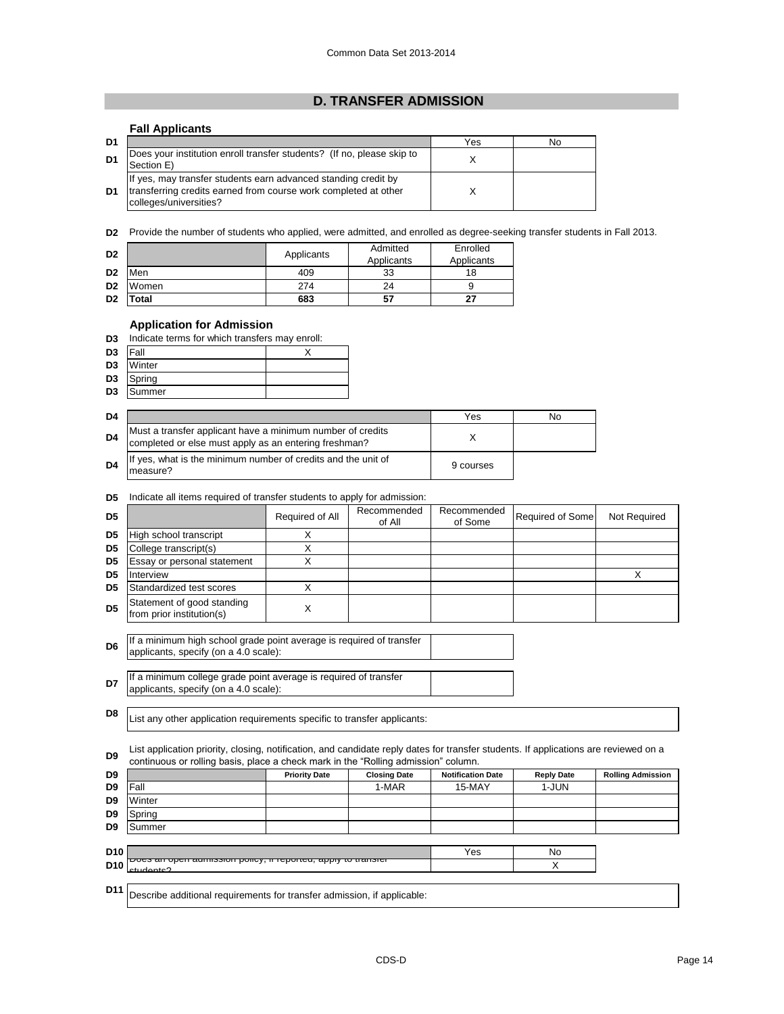## **D. TRANSFER ADMISSION**

## **Fall Applicants**

| D1             |                                                                                                                                                             | Yes | No |
|----------------|-------------------------------------------------------------------------------------------------------------------------------------------------------------|-----|----|
|                | Does your institution enroll transfer students? (If no, please skip to<br>Section E)                                                                        |     |    |
| D <sub>1</sub> | If yes, may transfer students earn advanced standing credit by<br>transferring credits earned from course work completed at other<br>colleges/universities? |     |    |

**D2** Provide the number of students who applied, were admitted, and enrolled as degree-seeking transfer students in Fall 2013.

| D <sub>2</sub> |       | Applicants | Admitted<br>Applicants | Enrolled<br>Applicants |
|----------------|-------|------------|------------------------|------------------------|
| D <sub>2</sub> | Men   | 409        | 33                     | 18                     |
| D <sub>2</sub> | Women | 274        | 24                     |                        |
| D <sub>2</sub> | Total | 683        | 57                     | 27                     |

## **Application for Admission**

**D3** Indicate terms for which transfers may enroll:

| D <sub>3</sub> | <b>Fall</b> |  |
|----------------|-------------|--|
| D <sub>3</sub> | Winter      |  |
| D <sub>3</sub> | Spring      |  |
| D <sub>3</sub> | Summer      |  |

| D4 |                                                                                                                     | Yes       | No |
|----|---------------------------------------------------------------------------------------------------------------------|-----------|----|
| D4 | Must a transfer applicant have a minimum number of credits<br>completed or else must apply as an entering freshman? |           |    |
| D4 | If yes, what is the minimum number of credits and the unit of<br>measure?                                           | 9 courses |    |

#### **D5** Indicate all items required of transfer students to apply for admission:

|                | marcate all lients required or transfer students to apply for admission.                                                                                                                                                   |                      |                       |                          |                   |                          |
|----------------|----------------------------------------------------------------------------------------------------------------------------------------------------------------------------------------------------------------------------|----------------------|-----------------------|--------------------------|-------------------|--------------------------|
| D <sub>5</sub> |                                                                                                                                                                                                                            | Required of All      | Recommended<br>of All | Recommended<br>of Some   | Required of Some  | Not Required             |
| D <sub>5</sub> | High school transcript                                                                                                                                                                                                     | X                    |                       |                          |                   |                          |
| D <sub>5</sub> | College transcript(s)                                                                                                                                                                                                      | X                    |                       |                          |                   |                          |
| D <sub>5</sub> | Essay or personal statement                                                                                                                                                                                                | X                    |                       |                          |                   |                          |
| D <sub>5</sub> | Interview                                                                                                                                                                                                                  |                      |                       |                          |                   | X                        |
| D <sub>5</sub> | Standardized test scores                                                                                                                                                                                                   | X                    |                       |                          |                   |                          |
| D <sub>5</sub> | Statement of good standing<br>from prior institution(s)                                                                                                                                                                    | X                    |                       |                          |                   |                          |
| D <sub>6</sub> | If a minimum high school grade point average is required of transfer<br>applicants, specify (on a 4.0 scale):                                                                                                              |                      |                       |                          |                   |                          |
| D7             | If a minimum college grade point average is required of transfer<br>applicants, specify (on a 4.0 scale):                                                                                                                  |                      |                       |                          |                   |                          |
| D <sub>8</sub> | List any other application requirements specific to transfer applicants:                                                                                                                                                   |                      |                       |                          |                   |                          |
| D <sub>9</sub> | List application priority, closing, notification, and candidate reply dates for transfer students. If applications are reviewed on a<br>continuous or rolling basis, place a check mark in the "Rolling admission" column. |                      |                       |                          |                   |                          |
| D <sub>9</sub> |                                                                                                                                                                                                                            | <b>Priority Date</b> | <b>Closing Date</b>   | <b>Notification Date</b> | <b>Reply Date</b> | <b>Rolling Admission</b> |
| D <sub>9</sub> | Fall                                                                                                                                                                                                                       |                      | 1-MAR                 | 15-MAY                   | 1-JUN             |                          |
| D <sub>9</sub> | Winter                                                                                                                                                                                                                     |                      |                       |                          |                   |                          |
| D <sub>9</sub> | Spring                                                                                                                                                                                                                     |                      |                       |                          |                   |                          |
| D9             | Summer                                                                                                                                                                                                                     |                      |                       |                          |                   |                          |
|                |                                                                                                                                                                                                                            |                      |                       |                          |                   |                          |

| D <sub>10</sub> |                                                                       | 'es | Nc |
|-----------------|-----------------------------------------------------------------------|-----|----|
| <b>D10</b>      | <u>Poes an open admission policy, in reported, apply to transient</u> |     |    |
|                 |                                                                       |     |    |

**D11** Describe additional requirements for transfer admission, if applicable: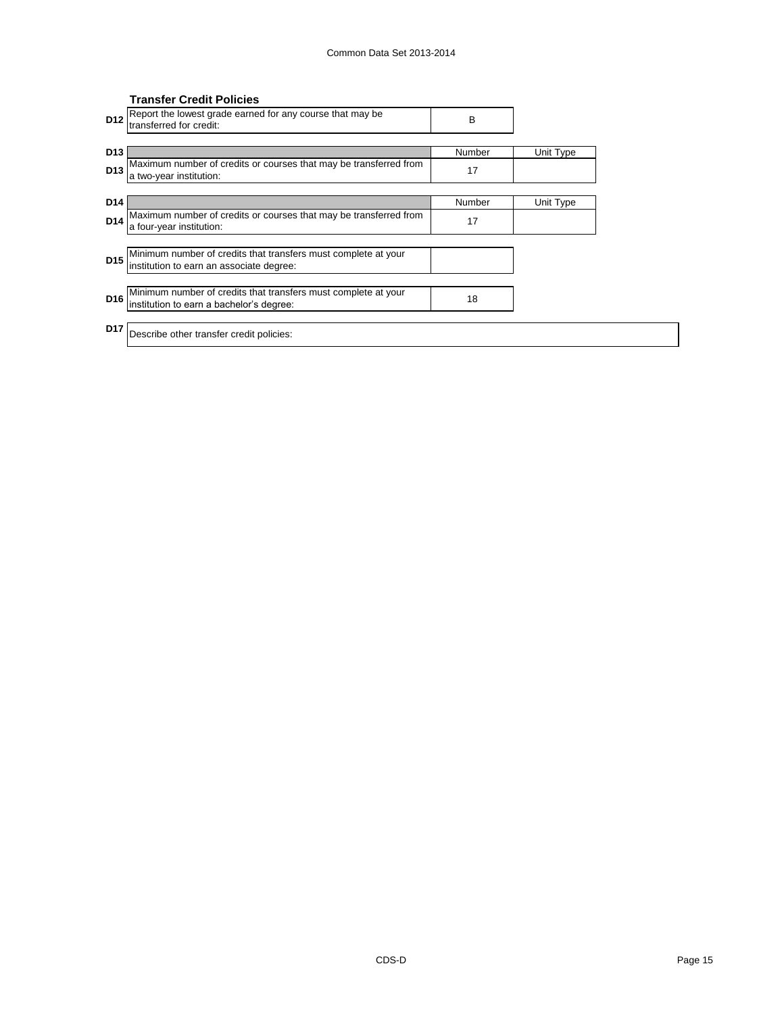|                 | <b>Transfer Credit Policies</b>                                                                            |        |           |
|-----------------|------------------------------------------------------------------------------------------------------------|--------|-----------|
| D <sub>12</sub> | Report the lowest grade earned for any course that may be<br>transferred for credit:                       | B      |           |
|                 |                                                                                                            |        |           |
| D <sub>13</sub> |                                                                                                            | Number | Unit Type |
| D <sub>13</sub> | Maximum number of credits or courses that may be transferred from<br>a two-year institution:               | 17     |           |
|                 |                                                                                                            |        |           |
| D <sub>14</sub> |                                                                                                            | Number | Unit Type |
| D <sub>14</sub> | Maximum number of credits or courses that may be transferred from<br>a four-year institution:              | 17     |           |
|                 |                                                                                                            |        |           |
| D <sub>15</sub> | Minimum number of credits that transfers must complete at your<br>institution to earn an associate degree: |        |           |
|                 |                                                                                                            |        |           |
| D <sub>16</sub> | Minimum number of credits that transfers must complete at your<br>institution to earn a bachelor's degree: | 18     |           |
|                 |                                                                                                            |        |           |
| D <sub>17</sub> | Describe other transfer credit policies:                                                                   |        |           |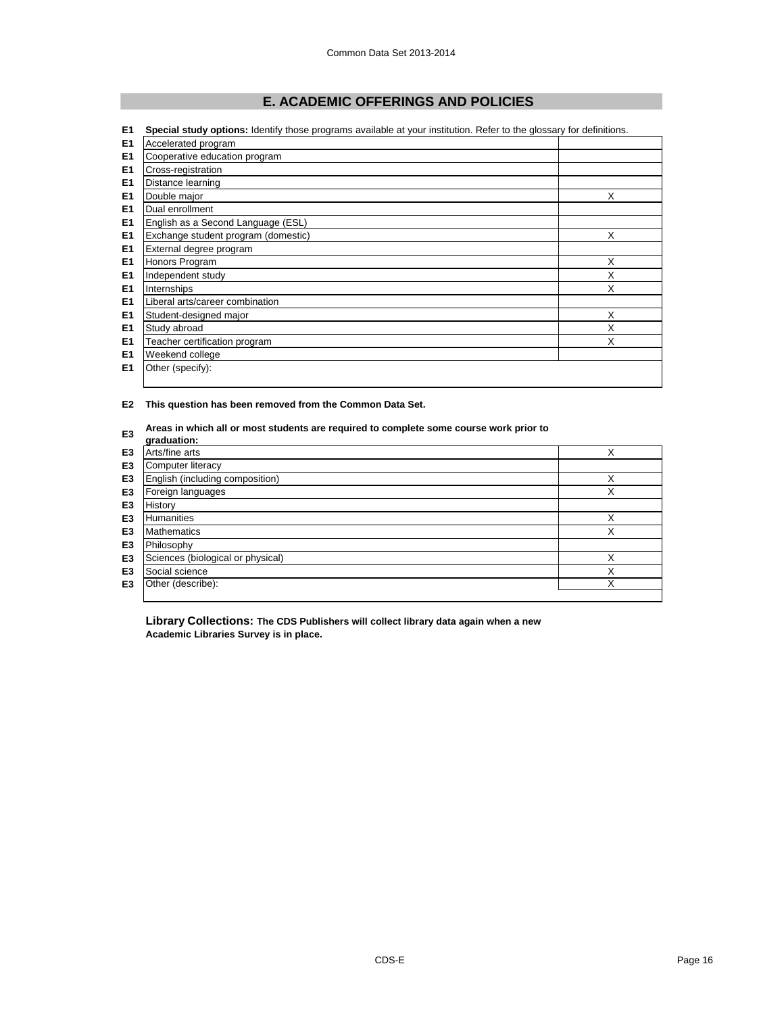# **E. ACADEMIC OFFERINGS AND POLICIES**

| E <sub>1</sub> | Special study options: Identify those programs available at your institution. Refer to the glossary for definitions. |   |  |  |
|----------------|----------------------------------------------------------------------------------------------------------------------|---|--|--|
| E <sub>1</sub> | Accelerated program                                                                                                  |   |  |  |
| E <sub>1</sub> | Cooperative education program                                                                                        |   |  |  |
| E <sub>1</sub> | Cross-registration                                                                                                   |   |  |  |
| E <sub>1</sub> | Distance learning                                                                                                    |   |  |  |
| E <sub>1</sub> | Double major                                                                                                         | X |  |  |
| E <sub>1</sub> | Dual enrollment                                                                                                      |   |  |  |
| E <sub>1</sub> | English as a Second Language (ESL)                                                                                   |   |  |  |
| E <sub>1</sub> | Exchange student program (domestic)                                                                                  | X |  |  |
| E <sub>1</sub> | External degree program                                                                                              |   |  |  |
| E <sub>1</sub> | Honors Program                                                                                                       | X |  |  |
| E <sub>1</sub> | Independent study                                                                                                    | X |  |  |
| E <sub>1</sub> | Internships                                                                                                          | X |  |  |
| E <sub>1</sub> | Liberal arts/career combination                                                                                      |   |  |  |
| E <sub>1</sub> | Student-designed major                                                                                               | X |  |  |
| E <sub>1</sub> | Study abroad                                                                                                         | X |  |  |
| E <sub>1</sub> | Teacher certification program                                                                                        | X |  |  |
| E <sub>1</sub> | Weekend college                                                                                                      |   |  |  |
| E <sub>1</sub> | Other (specify):                                                                                                     |   |  |  |
|                |                                                                                                                      |   |  |  |

**E2 This question has been removed from the Common Data Set.**

## **E3** Areas in which all or most students are required to complete some course work prior to

| ᇋ              | graduation:                       |   |
|----------------|-----------------------------------|---|
| E <sub>3</sub> | Arts/fine arts                    | X |
| E <sub>3</sub> | Computer literacy                 |   |
| E <sub>3</sub> | English (including composition)   | Χ |
| E <sub>3</sub> | Foreign languages                 | X |
| E <sub>3</sub> | History                           |   |
| E <sub>3</sub> | <b>Humanities</b>                 | X |
| E <sub>3</sub> | <b>Mathematics</b>                | X |
| E <sub>3</sub> | Philosophy                        |   |
| E <sub>3</sub> | Sciences (biological or physical) | X |
| E3             | Social science                    | X |
| E <sub>3</sub> | Other (describe):                 | X |
|                |                                   |   |

**Library Collections: The CDS Publishers will collect library data again when a new Academic Libraries Survey is in place.**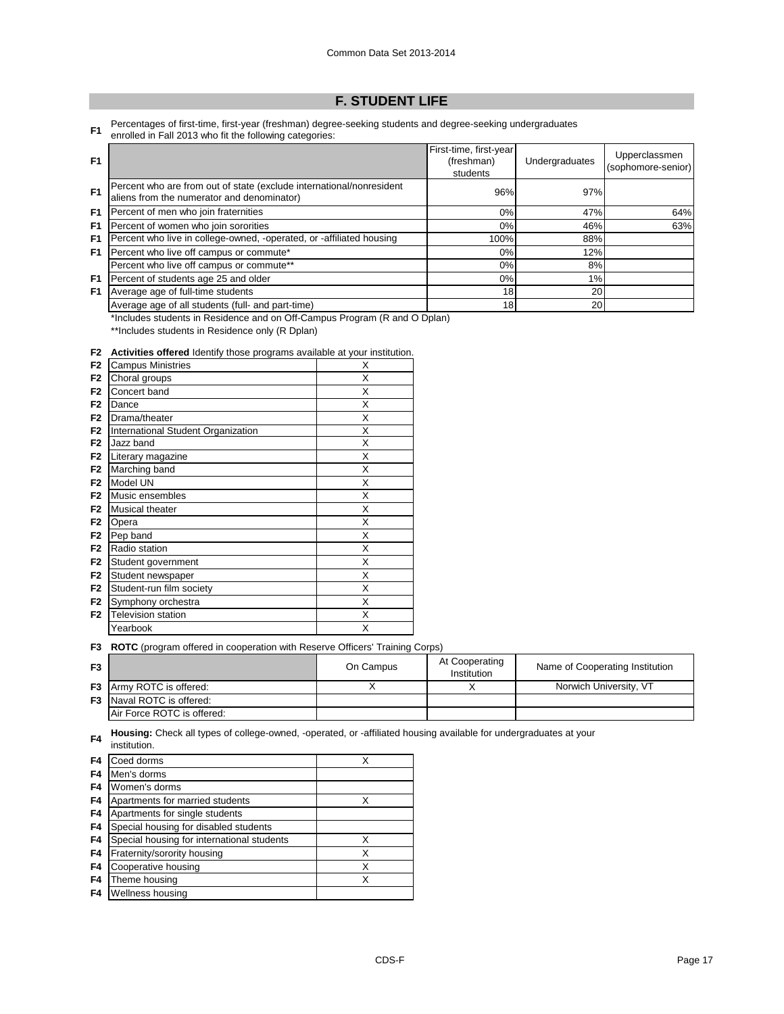## **F. STUDENT LIFE**

**F1** Percentages of first-time, first-year (freshman) degree-seeking students and degree-seeking undergraduates enrolled in Fall 2013 who fit the following categories:

| F <sub>1</sub> |                                                                                                                    | First-time, first-year<br>(freshman)<br>students | Undergraduates | Upperclassmen<br>(sophomore-senior) |
|----------------|--------------------------------------------------------------------------------------------------------------------|--------------------------------------------------|----------------|-------------------------------------|
| F <sub>1</sub> | Percent who are from out of state (exclude international/nonresident<br>aliens from the numerator and denominator) | 96%                                              | 97%            |                                     |
| F1             | Percent of men who join fraternities                                                                               | $0\%$                                            | 47%            | 64%                                 |
| F1             | Percent of women who join sororities                                                                               | $0\%$                                            | 46%            | 63%                                 |
| F1             | Percent who live in college-owned, -operated, or -affiliated housing                                               | 100%                                             | 88%            |                                     |
| F1.            | Percent who live off campus or commute*                                                                            | $0\%$                                            | 12%            |                                     |
|                | Percent who live off campus or commute**                                                                           | 0%                                               | 8%             |                                     |
| F1             | Percent of students age 25 and older                                                                               | $0\%$                                            | 1%             |                                     |
| F1             | Average age of full-time students                                                                                  | 18                                               | 20             |                                     |
|                | Average age of all students (full- and part-time)                                                                  | 18                                               | 20             |                                     |

\*Includes students in Residence and on Off-Campus Program (R and O Dplan)

\*\*Includes students in Residence only (R Dplan)

#### **F2 Activities offered** Identify those programs available at your institution.

| F <sub>2</sub> | <b>Campus Ministries</b>           | Χ |
|----------------|------------------------------------|---|
| F <sub>2</sub> | Choral groups                      | Χ |
| F <sub>2</sub> | Concert band                       | X |
| F <sub>2</sub> | Dance                              | X |
| F <sub>2</sub> | Drama/theater                      | Χ |
| F <sub>2</sub> | International Student Organization | X |
| F <sub>2</sub> | Jazz band                          | X |
| F <sub>2</sub> | Literary magazine                  | X |
| F <sub>2</sub> | Marching band                      | X |
| F <sub>2</sub> | Model UN                           | Χ |
| F <sub>2</sub> | Music ensembles                    | x |
| F <sub>2</sub> | Musical theater                    | X |
| F <sub>2</sub> | Opera                              | X |
| F <sub>2</sub> | Pep band                           | X |
| F <sub>2</sub> | Radio station                      | X |
| F <sub>2</sub> | Student government                 | Χ |
| F <sub>2</sub> | Student newspaper                  | X |
| F <sub>2</sub> | Student-run film society           | X |
| F <sub>2</sub> | Symphony orchestra                 | X |
| F <sub>2</sub> | Television station                 | X |
|                | Yearbook                           | Χ |
|                |                                    |   |

**F3 ROTC** (program offered in cooperation with Reserve Officers' Training Corps)

| F3 |                                  | On Campus | At Cooperating<br>Institution | Name of Cooperating Institution |
|----|----------------------------------|-----------|-------------------------------|---------------------------------|
|    | <b>F3</b> Army ROTC is offered:  |           |                               | Norwich University, VT          |
|    | <b>F3</b> Naval ROTC is offered: |           |                               |                                 |
|    | Air Force ROTC is offered:       |           |                               |                                 |

**F4 Housing:** Check all types of college-owned, -operated, or -affiliated housing available for undergraduates at your

|                | institution.                               |   |  |
|----------------|--------------------------------------------|---|--|
| F4             | Coed dorms                                 | X |  |
| F4             | Men's dorms                                |   |  |
| F4             | Women's dorms                              |   |  |
| F4             | Apartments for married students            | X |  |
| F4             | Apartments for single students             |   |  |
| F4             | Special housing for disabled students      |   |  |
| F <sub>4</sub> | Special housing for international students | X |  |
| F4             | Fraternity/sorority housing                | X |  |
| F4             | Cooperative housing                        | X |  |
| F4             | Theme housing                              | x |  |
| F4             | Wellness housing                           |   |  |
|                |                                            |   |  |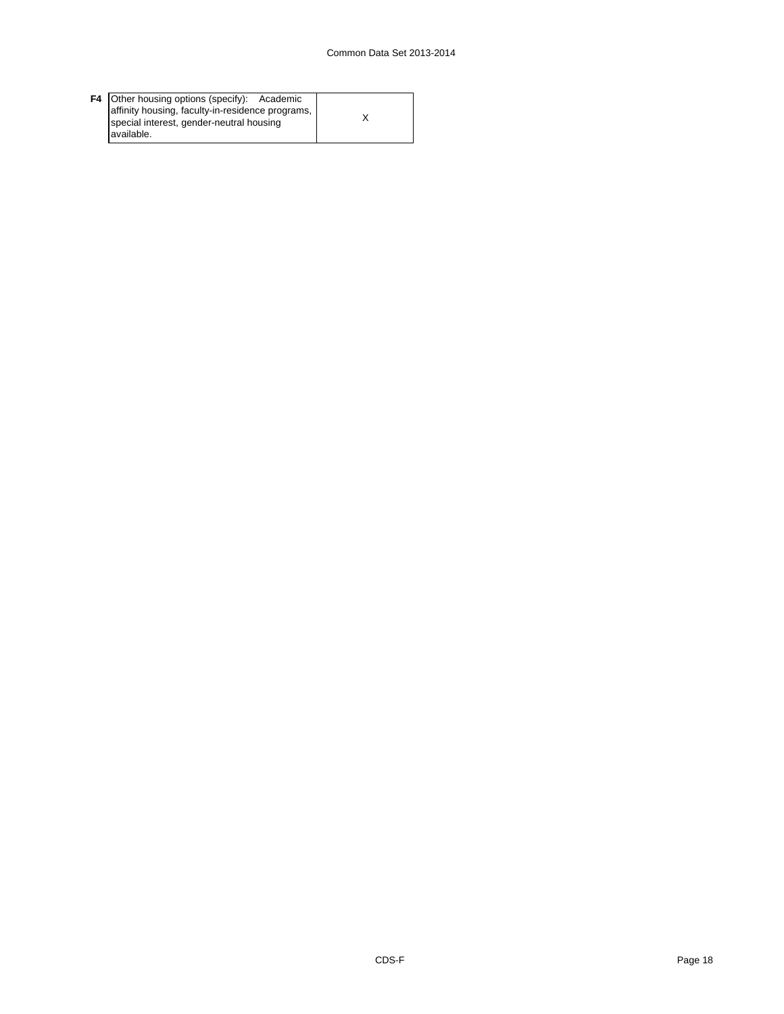|  | <b>F4</b> Other housing options (specify): Academic<br>affinity housing, faculty-in-residence programs,  <br>special interest, gender-neutral housing<br>available. |  |
|--|---------------------------------------------------------------------------------------------------------------------------------------------------------------------|--|
|--|---------------------------------------------------------------------------------------------------------------------------------------------------------------------|--|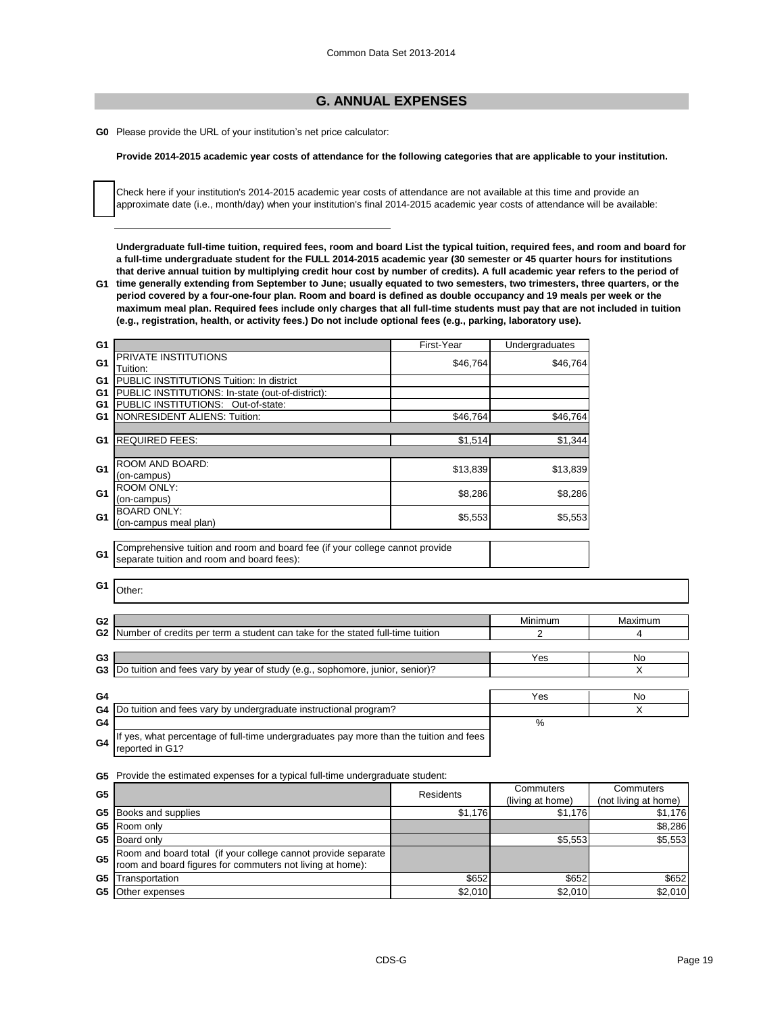## **G. ANNUAL EXPENSES**

**G0** Please provide the URL of your institution's net price calculator:

## **Provide 2014-2015 academic year costs of attendance for the following categories that are applicable to your institution.**

Check here if your institution's 2014-2015 academic year costs of attendance are not available at this time and provide an approximate date (i.e., month/day) when your institution's final 2014-2015 academic year costs of attendance will be available:

**Undergraduate full-time tuition, required fees, room and board List the typical tuition, required fees, and room and board for a full-time undergraduate student for the FULL 2014-2015 academic year (30 semester or 45 quarter hours for institutions that derive annual tuition by multiplying credit hour cost by number of credits). A full academic year refers to the period of** 

**G1 time generally extending from September to June; usually equated to two semesters, two trimesters, three quarters, or the period covered by a four-one-four plan. Room and board is defined as double occupancy and 19 meals per week or the maximum meal plan. Required fees include only charges that all full-time students must pay that are not included in tuition (e.g., registration, health, or activity fees.) Do not include optional fees (e.g., parking, laboratory use).**

| G <sub>1</sub> |                                                                              | First-Year | Undergraduates |
|----------------|------------------------------------------------------------------------------|------------|----------------|
| G1             | PRIVATE INSTITUTIONS                                                         | \$46,764   | \$46,764       |
|                | Tuition:                                                                     |            |                |
| G1             | PUBLIC INSTITUTIONS Tuition: In district                                     |            |                |
| G1             | PUBLIC INSTITUTIONS: In-state (out-of-district):                             |            |                |
| G <sub>1</sub> | PUBLIC INSTITUTIONS: Out-of-state:                                           |            |                |
| G1             | <b>NONRESIDENT ALIENS: Tuition:</b>                                          | \$46,764   | \$46,764       |
|                |                                                                              |            |                |
| G <sub>1</sub> | <b>REQUIRED FEES:</b>                                                        | \$1,514    | \$1.344        |
|                |                                                                              |            |                |
| G <sub>1</sub> | ROOM AND BOARD:                                                              | \$13,839   | \$13,839       |
|                | (on-campus)                                                                  |            |                |
| G1             | <b>ROOM ONLY:</b>                                                            | \$8,286    | \$8,286        |
|                | (on-campus)                                                                  |            |                |
| G1             | <b>BOARD ONLY:</b>                                                           | \$5,553    | \$5,553        |
|                | (on-campus meal plan)                                                        |            |                |
|                |                                                                              |            |                |
|                | Comprehensive tuition and room and board fee (if your college cannot provide |            |                |
| G <sub>1</sub> | separate tuition and room and board fees):                                   |            |                |

**G1** Other:

| G <sub>2</sub> |                                                                                                           | Minimum | Maximum |
|----------------|-----------------------------------------------------------------------------------------------------------|---------|---------|
| G <sub>2</sub> | Number of credits per term a student can take for the stated full-time tuition                            |         | 4       |
|                |                                                                                                           |         |         |
| G3             |                                                                                                           | Yes     | No      |
| G3             | Do tuition and fees vary by year of study (e.g., sophomore, junior, senior)?                              |         | X       |
|                |                                                                                                           |         |         |
| G4             |                                                                                                           | Yes     | No      |
| G4             | Do tuition and fees vary by undergraduate instructional program?                                          |         |         |
| G4             |                                                                                                           | %       |         |
| G4             | If yes, what percentage of full-time undergraduates pay more than the tuition and fees<br>reported in G1? |         |         |

**G5** Provide the estimated expenses for a typical full-time undergraduate student:

| G <sub>5</sub> | Residents                                                     |         | Commuters        | Commuters            |
|----------------|---------------------------------------------------------------|---------|------------------|----------------------|
|                |                                                               |         | (living at home) | (not living at home) |
|                | <b>G5</b> Books and supplies                                  | \$1,176 | \$1.176          | \$1,176              |
|                | <b>G5</b> Room only                                           |         |                  | \$8,286              |
|                | <b>G5</b> Board only                                          |         | \$5.553          | \$5,553              |
| G <sub>5</sub> | Room and board total (if your college cannot provide separate |         |                  |                      |
|                | room and board figures for commuters not living at home):     |         |                  |                      |
| G5             | Transportation                                                | \$652   | \$652            | \$652                |
|                | <b>G5</b> Other expenses                                      | \$2,010 | \$2.010          | \$2,010              |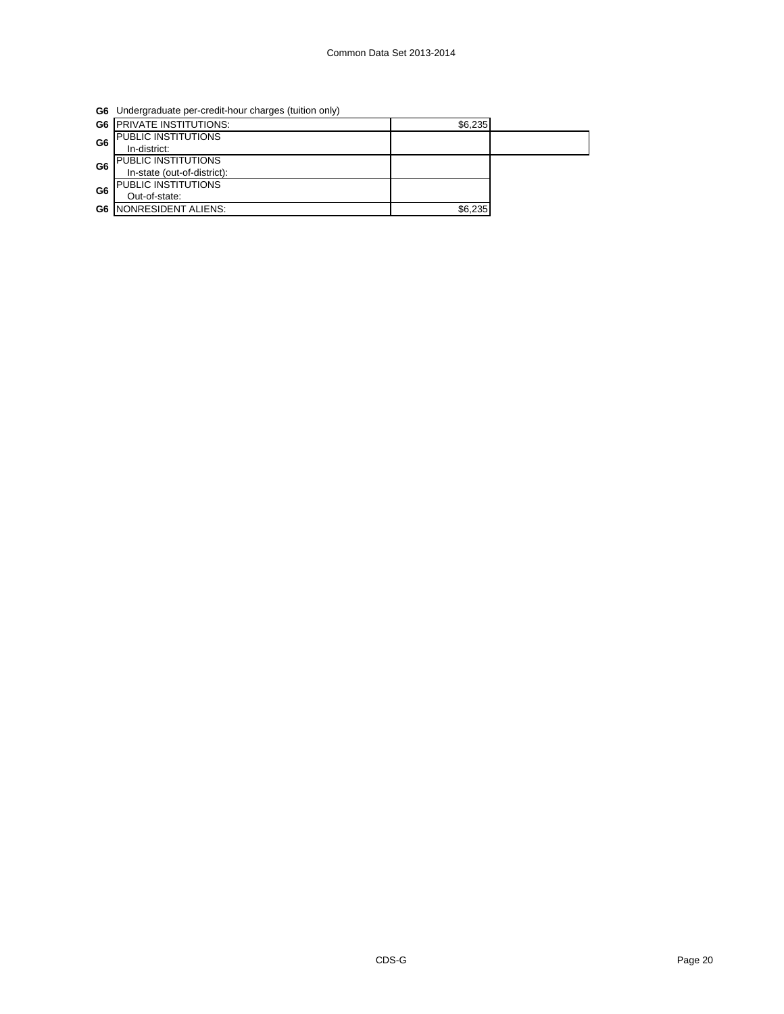**G6** Undergraduate per-credit-hour charges (tuition only)

|                | <b>G6 PRIVATE INSTITUTIONS:</b> | \$6,235 |  |
|----------------|---------------------------------|---------|--|
| G <sub>6</sub> | <b>PUBLIC INSTITUTIONS</b>      |         |  |
|                | In-district:                    |         |  |
| G <sub>6</sub> | <b>PUBLIC INSTITUTIONS</b>      |         |  |
|                | In-state (out-of-district):     |         |  |
| G6             | PUBLIC INSTITUTIONS             |         |  |
|                | Out-of-state:                   |         |  |
|                | <b>G6   NONRESIDENT ALIENS:</b> | \$6,235 |  |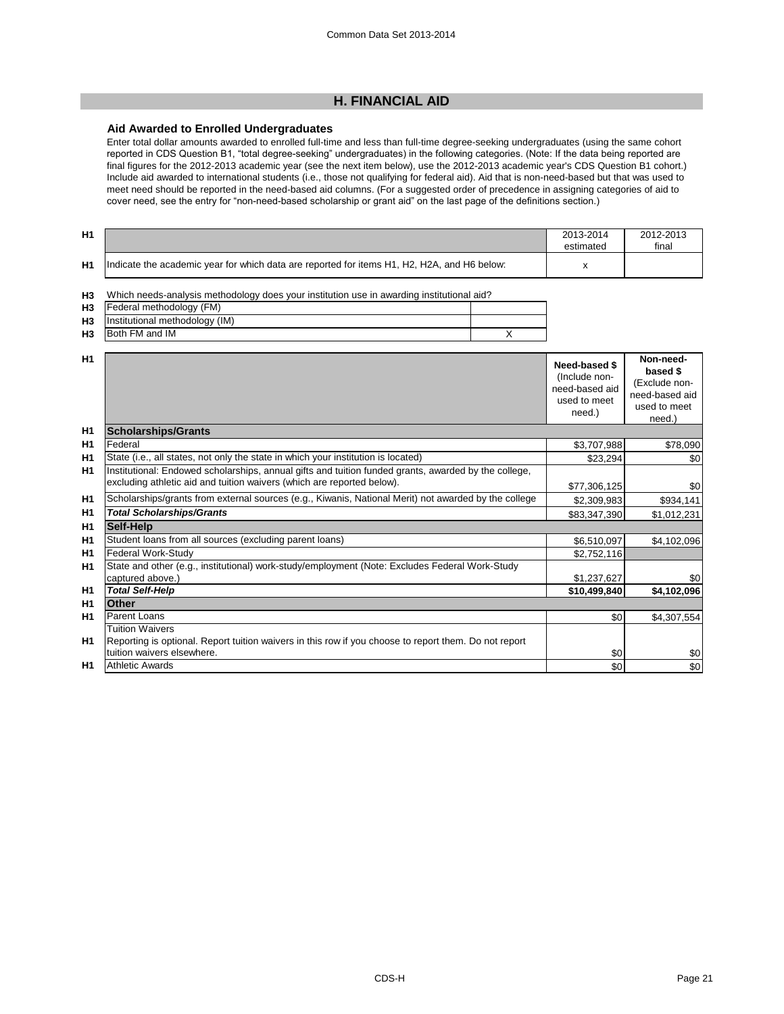## **H. FINANCIAL AID**

## **Aid Awarded to Enrolled Undergraduates**

Enter total dollar amounts awarded to enrolled full-time and less than full-time degree-seeking undergraduates (using the same cohort reported in CDS Question B1, "total degree-seeking" undergraduates) in the following categories. (Note: If the data being reported are final figures for the 2012-2013 academic year (see the next item below), use the 2012-2013 academic year's CDS Question B1 cohort.) Include aid awarded to international students (i.e., those not qualifying for federal aid). Aid that is non-need-based but that was used to meet need should be reported in the need-based aid columns. (For a suggested order of precedence in assigning categories of aid to cover need, see the entry for "non-need-based scholarship or grant aid" on the last page of the definitions section.)

| H1 |                                                                                             | 2013-2014<br>estimated | 2012-2013<br>final |
|----|---------------------------------------------------------------------------------------------|------------------------|--------------------|
| H1 | Indicate the academic year for which data are reported for items H1, H2, H2A, and H6 below: |                        |                    |

| H <sub>3</sub> | Which needs-analysis methodology does your institution use in awarding institutional aid? |  |  |
|----------------|-------------------------------------------------------------------------------------------|--|--|
|                | H <sub>3</sub> Federal methodology (FM)                                                   |  |  |
|                | H3 Institutional methodology (IM)                                                         |  |  |
| H <sub>3</sub> | Both FM and IM                                                                            |  |  |

| H <sub>1</sub> |                                                                                                                                                                                | Need-based \$<br>(Include non-<br>need-based aid<br>used to meet<br>need.) | Non-need-<br>based \$<br>(Exclude non-<br>need-based aid<br>used to meet<br>need.) |
|----------------|--------------------------------------------------------------------------------------------------------------------------------------------------------------------------------|----------------------------------------------------------------------------|------------------------------------------------------------------------------------|
| H <sub>1</sub> | <b>Scholarships/Grants</b>                                                                                                                                                     |                                                                            |                                                                                    |
| H1             | Federal                                                                                                                                                                        | \$3,707,988                                                                | \$78,090                                                                           |
| H1             | State (i.e., all states, not only the state in which your institution is located)                                                                                              | \$23,294                                                                   | \$0                                                                                |
| H1             | Institutional: Endowed scholarships, annual gifts and tuition funded grants, awarded by the college,<br>excluding athletic aid and tuition waivers (which are reported below). | \$77,306,125                                                               | \$0                                                                                |
| H <sub>1</sub> | Scholarships/grants from external sources (e.g., Kiwanis, National Merit) not awarded by the college                                                                           | \$2,309,983                                                                | \$934,141                                                                          |
| H <sub>1</sub> | <b>Total Scholarships/Grants</b>                                                                                                                                               | \$83,347,390                                                               | \$1,012,231                                                                        |
| H <sub>1</sub> | Self-Help                                                                                                                                                                      |                                                                            |                                                                                    |
| H1             | Student loans from all sources (excluding parent loans)                                                                                                                        | \$6,510,097                                                                | \$4,102,096                                                                        |
| H <sub>1</sub> | Federal Work-Study                                                                                                                                                             | \$2,752,116                                                                |                                                                                    |
| H <sub>1</sub> | State and other (e.g., institutional) work-study/employment (Note: Excludes Federal Work-Study                                                                                 |                                                                            |                                                                                    |
|                | captured above.)                                                                                                                                                               | \$1,237,627                                                                | \$0                                                                                |
| H1             | <b>Total Self-Help</b>                                                                                                                                                         | \$10,499,840                                                               | \$4,102,096                                                                        |
| H <sub>1</sub> | Other                                                                                                                                                                          |                                                                            |                                                                                    |
| <b>H1</b>      | Parent Loans                                                                                                                                                                   | \$0                                                                        | \$4,307,554                                                                        |
|                | <b>Tuition Waivers</b>                                                                                                                                                         |                                                                            |                                                                                    |
| <b>H1</b>      | Reporting is optional. Report tuition waivers in this row if you choose to report them. Do not report                                                                          |                                                                            |                                                                                    |
|                | tuition waivers elsewhere.                                                                                                                                                     | \$0                                                                        | \$0                                                                                |
| H1             | <b>Athletic Awards</b>                                                                                                                                                         | \$0                                                                        | \$0                                                                                |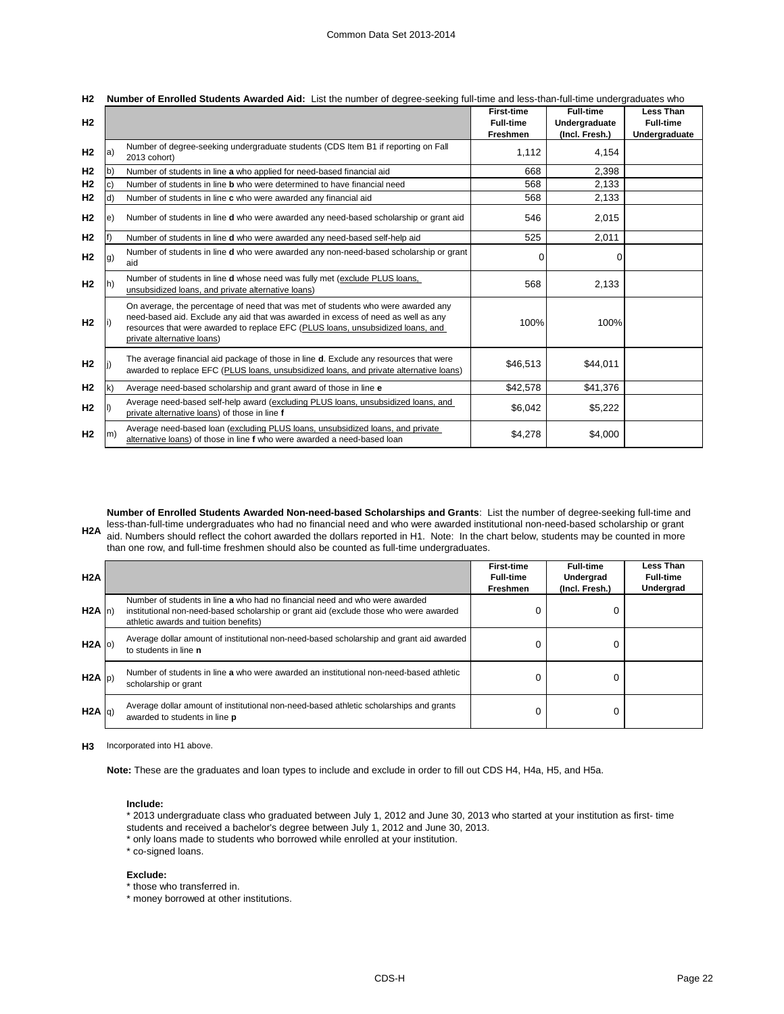| H <sub>2</sub> |              |                                                                                                                                                                                                                                                                                        | <b>First-time</b><br><b>Full-time</b><br><b>Freshmen</b> | <b>Full-time</b><br>Undergraduate<br>(Incl. Fresh.) | <b>Less Than</b><br><b>Full-time</b><br>Undergraduate |
|----------------|--------------|----------------------------------------------------------------------------------------------------------------------------------------------------------------------------------------------------------------------------------------------------------------------------------------|----------------------------------------------------------|-----------------------------------------------------|-------------------------------------------------------|
| H <sub>2</sub> | la)          | Number of degree-seeking undergraduate students (CDS Item B1 if reporting on Fall<br>2013 cohort)                                                                                                                                                                                      | 1,112                                                    | 4,154                                               |                                                       |
| H <sub>2</sub> | (b           | Number of students in line a who applied for need-based financial aid                                                                                                                                                                                                                  | 668                                                      | 2,398                                               |                                                       |
| H <sub>2</sub> | C)           | Number of students in line <b>b</b> who were determined to have financial need                                                                                                                                                                                                         | 568                                                      | 2,133                                               |                                                       |
| H <sub>2</sub> | ld)          | Number of students in line c who were awarded any financial aid                                                                                                                                                                                                                        | 568                                                      | 2,133                                               |                                                       |
| H <sub>2</sub> | le)          | Number of students in line d who were awarded any need-based scholarship or grant aid                                                                                                                                                                                                  | 546                                                      | 2,015                                               |                                                       |
| H <sub>2</sub> |              | Number of students in line d who were awarded any need-based self-help aid                                                                                                                                                                                                             | 525                                                      | 2,011                                               |                                                       |
| H <sub>2</sub> | [g]          | Number of students in line <b>d</b> who were awarded any non-need-based scholarship or grant<br>aid                                                                                                                                                                                    | 0                                                        |                                                     |                                                       |
| H <sub>2</sub> |              | Number of students in line <b>d</b> whose need was fully met (exclude PLUS loans,<br>unsubsidized loans, and private alternative loans)                                                                                                                                                | 568                                                      | 2,133                                               |                                                       |
| H <sub>2</sub> |              | On average, the percentage of need that was met of students who were awarded any<br>need-based aid. Exclude any aid that was awarded in excess of need as well as any<br>resources that were awarded to replace EFC (PLUS loans, unsubsidized loans, and<br>private alternative loans) | 100%                                                     | 100%                                                |                                                       |
| H <sub>2</sub> |              | The average financial aid package of those in line <b>d</b> . Exclude any resources that were<br>awarded to replace EFC (PLUS loans, unsubsidized loans, and private alternative loans)                                                                                                | \$46,513                                                 | \$44,011                                            |                                                       |
| H <sub>2</sub> | $\mathsf{k}$ | Average need-based scholarship and grant award of those in line e                                                                                                                                                                                                                      | \$42,578                                                 | \$41,376                                            |                                                       |
| H <sub>2</sub> |              | Average need-based self-help award (excluding PLUS loans, unsubsidized loans, and<br>private alternative loans) of those in line f                                                                                                                                                     | \$6,042                                                  | \$5,222                                             |                                                       |
| H <sub>2</sub> | $\mathsf{m}$ | Average need-based loan (excluding PLUS loans, unsubsidized loans, and private<br>alternative loans) of those in line f who were awarded a need-based loan                                                                                                                             | \$4.278                                                  | \$4,000                                             |                                                       |

|  |  | H2 Number of Enrolled Students Awarded Aid: List the number of degree-seeking full-time and less-than-full-time undergraduates who |
|--|--|------------------------------------------------------------------------------------------------------------------------------------|
|--|--|------------------------------------------------------------------------------------------------------------------------------------|

less-than-full-time undergraduates who had no financial need and who were awarded institutional non-need-based scholarship or grant<br>H2A aid Numbers should reflect the schort pureded the dellars reported in H1. Note: In the **Number of Enrolled Students Awarded Non-need-based Scholarships and Grants**: List the number of degree-seeking full-time and aid. Numbers should reflect the cohort awarded the dollars reported in H1. Note: In the chart below, students may be counted in more than one row, and full-time freshmen should also be counted as full-time undergraduates.

| H2A       |                                                                                                                                                                                                               | <b>First-time</b><br><b>Full-time</b><br><b>Freshmen</b> | <b>Full-time</b><br>Undergrad<br>(Incl. Fresh.) | Less Than<br><b>Full-time</b><br>Undergrad |
|-----------|---------------------------------------------------------------------------------------------------------------------------------------------------------------------------------------------------------------|----------------------------------------------------------|-------------------------------------------------|--------------------------------------------|
| $H2A$ n)  | Number of students in line a who had no financial need and who were awarded<br>institutional non-need-based scholarship or grant aid (exclude those who were awarded<br>athletic awards and tuition benefits) |                                                          |                                                 |                                            |
| $H2A$ (c) | Average dollar amount of institutional non-need-based scholarship and grant aid awarded<br>to students in line n                                                                                              |                                                          |                                                 |                                            |
| $H2A$ (p) | Number of students in line a who were awarded an institutional non-need-based athletic<br>scholarship or grant                                                                                                | 0                                                        |                                                 |                                            |
| H2A  q    | Average dollar amount of institutional non-need-based athletic scholarships and grants<br>awarded to students in line p                                                                                       | 0                                                        |                                                 |                                            |

**H3** Incorporated into H1 above.

**Note:** These are the graduates and loan types to include and exclude in order to fill out CDS H4, H4a, H5, and H5a.

#### **Include:**

- \* 2013 undergraduate class who graduated between July 1, 2012 and June 30, 2013 who started at your institution as first- time students and received a bachelor's degree between July 1, 2012 and June 30, 2013.
- \* only loans made to students who borrowed while enrolled at your institution.

\* co-signed loans.

#### **Exclude:**

\* those who transferred in.

\* money borrowed at other institutions.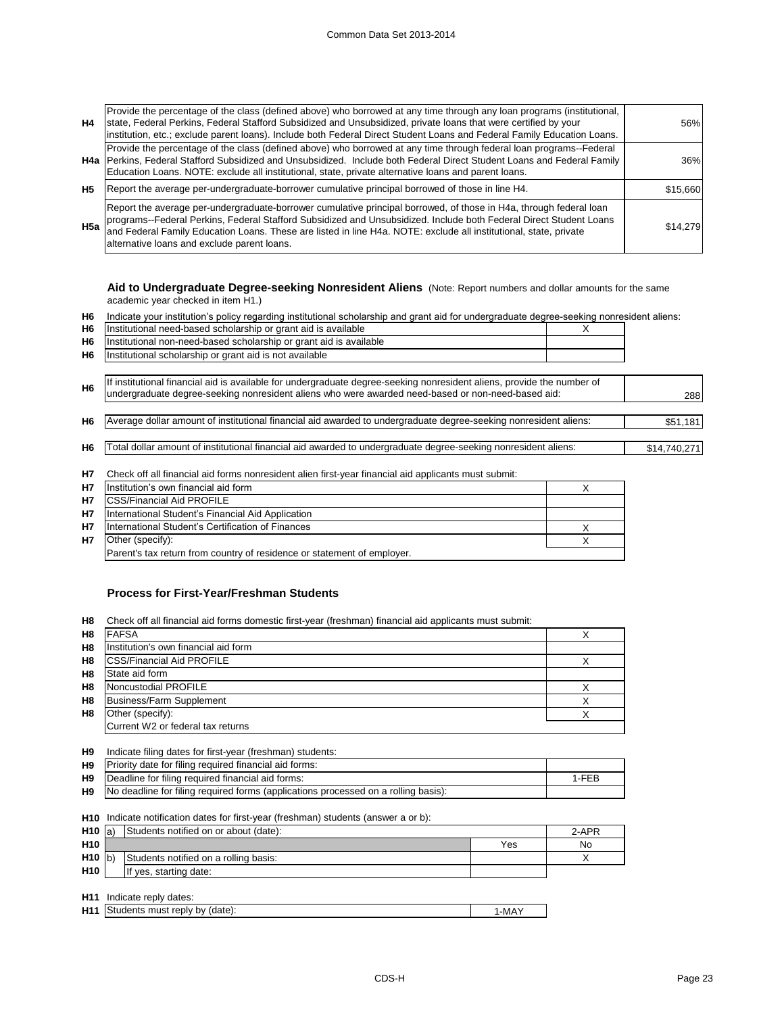| H4        | Provide the percentage of the class (defined above) who borrowed at any time through any loan programs (institutional,<br>state, Federal Perkins, Federal Stafford Subsidized and Unsubsidized, private loans that were certified by your<br>institution, etc.; exclude parent loans). Include both Federal Direct Student Loans and Federal Family Education Loans.                                   | 56%      |
|-----------|--------------------------------------------------------------------------------------------------------------------------------------------------------------------------------------------------------------------------------------------------------------------------------------------------------------------------------------------------------------------------------------------------------|----------|
|           | Provide the percentage of the class (defined above) who borrowed at any time through federal loan programs--Federal<br>H4a Perkins, Federal Stafford Subsidized and Unsubsidized. Include both Federal Direct Student Loans and Federal Family<br>Education Loans. NOTE: exclude all institutional, state, private alternative loans and parent loans.                                                 | 36%      |
| <b>H5</b> | Report the average per-undergraduate-borrower cumulative principal borrowed of those in line H4.                                                                                                                                                                                                                                                                                                       | \$15,660 |
| H5a       | Report the average per-undergraduate-borrower cumulative principal borrowed, of those in H4a, through federal loan<br>programs--Federal Perkins, Federal Stafford Subsidized and Unsubsidized. Include both Federal Direct Student Loans<br>and Federal Family Education Loans. These are listed in line H4a. NOTE: exclude all institutional, state, p<br>alternative loans and exclude parent loans. | \$14,279 |

**Aid to Undergraduate Degree-seeking Nonresident Aliens** (Note: Report numbers and dollar amounts for the same academic year checked in item H1.)

**H6** Indicate your institution's policy regarding institutional scholarship and grant aid for undergraduate degree-seeking nonresident aliens:

| H <sub>6</sub> | Institutional need-based scholarship or grant aid is available                                                         | X |              |
|----------------|------------------------------------------------------------------------------------------------------------------------|---|--------------|
| H <sub>6</sub> | Institutional non-need-based scholarship or grant aid is available                                                     |   |              |
| H <sub>6</sub> | Institutional scholarship or grant aid is not available                                                                |   |              |
|                |                                                                                                                        |   |              |
| H <sub>6</sub> | If institutional financial aid is available for undergraduate degree-seeking nonresident aliens, provide the number of |   |              |
|                | undergraduate degree-seeking nonresident aliens who were awarded need-based or non-need-based aid:                     |   |              |
|                |                                                                                                                        |   |              |
| H <sub>6</sub> | Average dollar amount of institutional financial aid awarded to undergraduate degree-seeking nonresident aliens:       |   | \$51,181     |
|                |                                                                                                                        |   |              |
| H <sub>6</sub> | Total dollar amount of institutional financial aid awarded to undergraduate degree-seeking nonresident aliens:         |   | \$14,740,271 |
|                |                                                                                                                        |   |              |
| 117            | Chack off all financial aid forms nonresident alien first-vear financial aid annicants must submit                     |   |              |

**H7** Check off all financial aid forms nonresident alien first-year financial aid applicants must submit:

| <b>H7</b> | Institution's own financial aid form                                    |  |
|-----------|-------------------------------------------------------------------------|--|
| <b>H7</b> | <b>CSS/Financial Aid PROFILE</b>                                        |  |
| <b>H7</b> | International Student's Financial Aid Application                       |  |
| <b>H7</b> | International Student's Certification of Finances                       |  |
| <b>H7</b> | Other (specify):                                                        |  |
|           | Parent's tax return from country of residence or statement of employer. |  |
|           |                                                                         |  |

## **Process for First-Year/Freshman Students**

**H8** Check off all financial aid forms domestic first-year (freshman) financial aid applicants must submit:

| H <sub>8</sub> | <b>FAFSA</b>                         |  |
|----------------|--------------------------------------|--|
| H <sub>8</sub> | Institution's own financial aid form |  |
| H <sub>8</sub> | <b>CSS/Financial Aid PROFILE</b>     |  |
| H <sub>8</sub> | State aid form                       |  |
| H <sub>8</sub> | Noncustodial PROFILE                 |  |
| H <sub>8</sub> | Business/Farm Supplement             |  |
| H <sub>8</sub> | Other (specify):                     |  |
|                | Current W2 or federal tax returns    |  |

| H9 |  |  |  | Indicate filing dates for first-year (freshman) students: |
|----|--|--|--|-----------------------------------------------------------|
|    |  |  |  |                                                           |

| H9 | Priority date for filing required financial aid forms:                                       |       |
|----|----------------------------------------------------------------------------------------------|-------|
| H9 | Deadline for filing required financial aid forms:                                            | 1-FFR |
|    | <b>H9</b> No deadline for filing required forms (applications processed on a rolling basis): |       |

**H10** Indicate notification dates for first-year (freshman) students (answer a or b):

| $H10$ a)        | Students notified on or about (date): |     |    |  |
|-----------------|---------------------------------------|-----|----|--|
| H <sub>10</sub> |                                       | Yes | No |  |
| $H10$ b)        | Students notified on a rolling basis: |     |    |  |
| <b>H10</b>      | If yes, starting date:                |     |    |  |
|                 |                                       |     |    |  |

**H11** Indicate reply dates:

| H11<br>Students must reply by (date):<br>√MAµ. |  |
|------------------------------------------------|--|
|------------------------------------------------|--|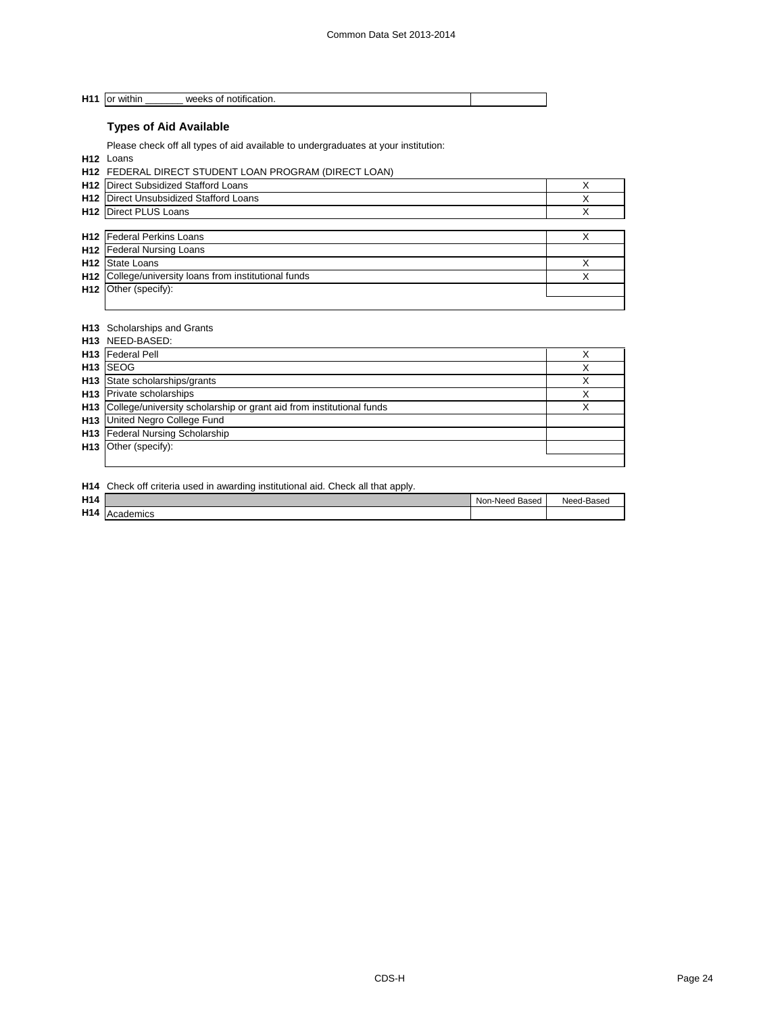**H11** or within weeks of notification.

## **Types of Aid Available**

Please check off all types of aid available to undergraduates at your institution:

**H12** Loans

|                 | <b>H12 FEDERAL DIRECT STUDENT LOAN PROGRAM (DIRECT LOAN)</b> |   |
|-----------------|--------------------------------------------------------------|---|
| H <sub>12</sub> | Direct Subsidized Stafford Loans                             |   |
| H <sub>12</sub> | Direct Unsubsidized Stafford Loans                           |   |
|                 | <b>H12</b> Direct PLUS Loans                                 | Χ |
|                 |                                                              |   |
|                 | <b>H12</b> Federal Perkins Loans                             |   |
|                 | <b>H12</b> Federal Nursing Loans                             |   |
| H <sub>12</sub> | <b>State Loans</b>                                           |   |
| H <sub>12</sub> | College/university loans from institutional funds            | Χ |
|                 | $H12$ Other (specify):                                       |   |
|                 |                                                              |   |

#### **H13** Scholarships and Grants

| H <sub>13</sub> NEED-BASED:                                              |   |
|--------------------------------------------------------------------------|---|
| <b>H13</b> Federal Pell                                                  |   |
| H <sub>13</sub> SEOG                                                     | ⋏ |
| H13 State scholarships/grants                                            | ∧ |
| H <sub>13</sub> Private scholarships                                     |   |
| H13 College/university scholarship or grant aid from institutional funds |   |
| H13 United Negro College Fund                                            |   |
| H13 Federal Nursing Scholarship                                          |   |
| $H13$ Other (specify):                                                   |   |
|                                                                          |   |

**H14** Check off criteria used in awarding institutional aid. Check all that apply.

| H <sub>14</sub> |                  | Based<br>า-Need<br>Non | d-Based<br>Need |
|-----------------|------------------|------------------------|-----------------|
| H <sub>14</sub> | <b>Academics</b> |                        |                 |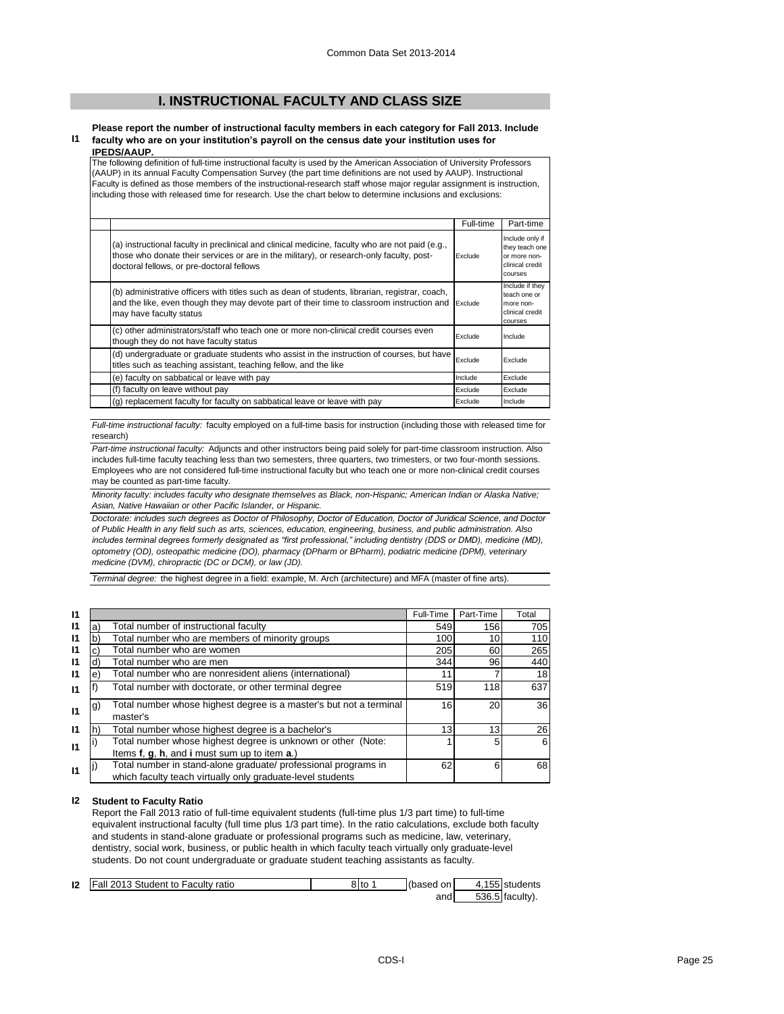## **I. INSTRUCTIONAL FACULTY AND CLASS SIZE**

#### **I1 Please report the number of instructional faculty members in each category for Fall 2013. Include faculty who are on your institution's payroll on the census date your institution uses for**

**IPEDS/AAUP.** The following definition of full-time instructional faculty is used by the American Association of University Professors (AAUP) in its annual Faculty Compensation Survey (the part time definitions are not used by AAUP). Instructional Faculty is defined as those members of the instructional-research staff whose major regular assignment is instruction, including those with released time for research. Use the chart below to determine inclusions and exclusions:

|                                                                                                                                                                                                                                          | Full-time | Part-time                                                                              |
|------------------------------------------------------------------------------------------------------------------------------------------------------------------------------------------------------------------------------------------|-----------|----------------------------------------------------------------------------------------|
| (a) instructional faculty in preclinical and clinical medicine, faculty who are not paid (e.g.,<br>those who donate their services or are in the military), or research-only faculty, post-<br>doctoral fellows, or pre-doctoral fellows | Exclude   | Include only if<br>they teach one<br>or more non-<br>clinical credit<br><b>COULSES</b> |
| (b) administrative officers with titles such as dean of students, librarian, registrar, coach,<br>and the like, even though they may devote part of their time to classroom instruction and<br>may have faculty status                   | Exclude   | Include if they<br>teach one or<br>more non-<br>clinical credit<br>courses             |
| (c) other administrators/staff who teach one or more non-clinical credit courses even<br>though they do not have faculty status                                                                                                          | Exclude   | Include                                                                                |
| (d) undergraduate or graduate students who assist in the instruction of courses, but have<br>titles such as teaching assistant, teaching fellow, and the like                                                                            | Exclude   | Exclude                                                                                |
| (e) faculty on sabbatical or leave with pay                                                                                                                                                                                              | Include   | Exclude                                                                                |
| (f) faculty on leave without pay                                                                                                                                                                                                         | Exclude   | Exclude                                                                                |
| (g) replacement faculty for faculty on sabbatical leave or leave with pay                                                                                                                                                                | Exclude   | Include                                                                                |

*Full-time instructional faculty:* faculty employed on a full-time basis for instruction (including those with released time for research)

*Part-time instructional faculty:* Adjuncts and other instructors being paid solely for part-time classroom instruction. Also includes full-time faculty teaching less than two semesters, three quarters, two trimesters, or two four-month sessions. Employees who are not considered full-time instructional faculty but who teach one or more non-clinical credit courses may be counted as part-time faculty.

*Minority faculty: includes faculty who designate themselves as Black, non-Hispanic; American Indian or Alaska Native; Asian, Native Hawaiian or other Pacific Islander, or Hispanic.* 

*Doctorate: includes such degrees as Doctor of Philosophy, Doctor of Education, Doctor of Juridical Science, and Doctor of Public Health in any field such as arts, sciences, education, engineering, business, and public administration. Also*  includes terminal degrees formerly designated as "first professional," including dentistry (DDS or DMD), medicine (MD), *optometry (OD), osteopathic medicine (DO), pharmacy (DPharm or BPharm), podiatric medicine (DPM), veterinary medicine (DVM), chiropractic (DC or DCM), or law (JD).*

*Terminal degree:* the highest degree in a field: example, M. Arch (architecture) and MFA (master of fine arts).

| 11 |    |                                                                                                                              | Full-Time       | Part-Time | Total |
|----|----|------------------------------------------------------------------------------------------------------------------------------|-----------------|-----------|-------|
| 11 | а  | Total number of instructional faculty                                                                                        | 549             | 156       | 705   |
| 11 |    | Total number who are members of minority groups                                                                              | 100             | 10        | 110   |
| 11 |    | Total number who are women                                                                                                   | 205             | 60        | 265   |
| 11 |    | Total number who are men                                                                                                     | 344             | 96        | 440   |
| 11 | e. | Total number who are nonresident aliens (international)                                                                      | 11              |           | 18    |
| 11 |    | Total number with doctorate, or other terminal degree                                                                        | 519             | 118       | 637   |
| 11 | g) | Total number whose highest degree is a master's but not a terminal<br>master's                                               | 16              | 20        | 36    |
| 11 |    | Total number whose highest degree is a bachelor's                                                                            | 13 <sub>1</sub> | 13        | 26    |
| 11 |    | Total number whose highest degree is unknown or other (Note:<br>Items f, g, h, and i must sum up to item a.)                 |                 | 5         | 6     |
| 11 |    | Total number in stand-alone graduate/ professional programs in<br>which faculty teach virtually only graduate-level students | 62              | 6         | 68    |

#### **I2 Student to Faculty Ratio**

Report the Fall 2013 ratio of full-time equivalent students (full-time plus 1/3 part time) to full-time equivalent instructional faculty (full time plus 1/3 part time). In the ratio calculations, exclude both faculty and students in stand-alone graduate or professional programs such as medicine, law, veterinary, dentistry, social work, business, or public health in which faculty teach virtually only graduate-level students. Do not count undergraduate or graduate student teaching assistants as faculty.

| 12 | Fall 2013 Student to Faculty ratio | 8 to | (based on | $\sqrt{ }$ | 155 students      |
|----|------------------------------------|------|-----------|------------|-------------------|
|    |                                    |      | and       |            | $536.5$ faculty). |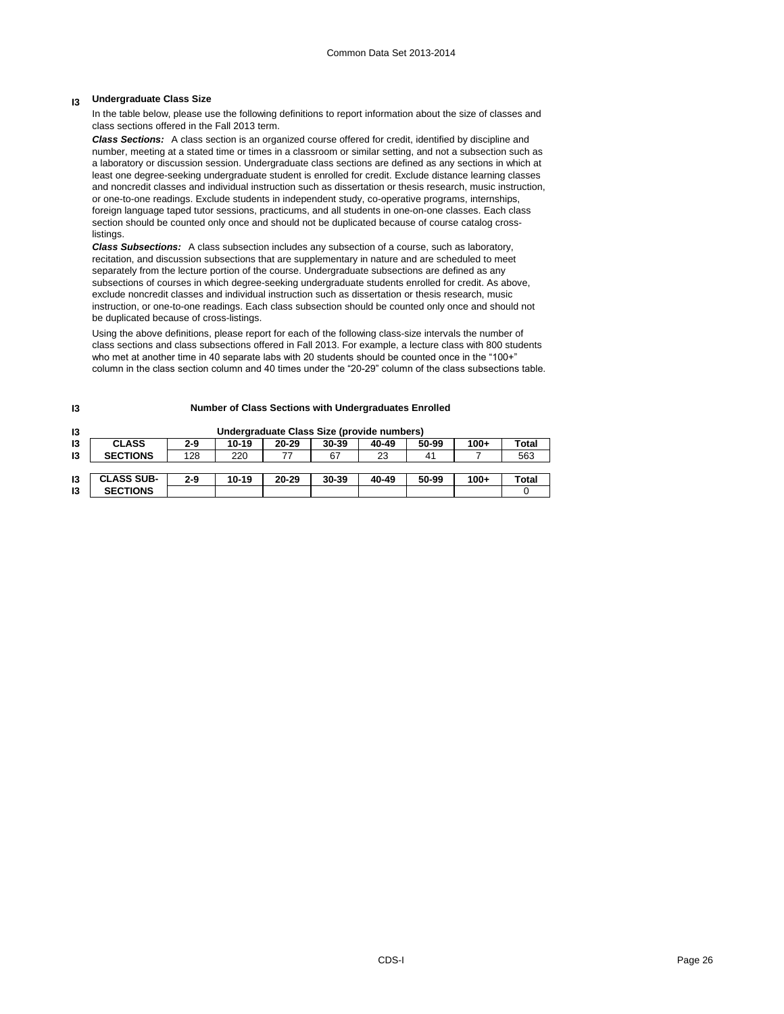## **I3 Undergraduate Class Size**

In the table below, please use the following definitions to report information about the size of classes and class sections offered in the Fall 2013 term.

*Class Sections:* A class section is an organized course offered for credit, identified by discipline and number, meeting at a stated time or times in a classroom or similar setting, and not a subsection such as a laboratory or discussion session. Undergraduate class sections are defined as any sections in which at least one degree-seeking undergraduate student is enrolled for credit. Exclude distance learning classes and noncredit classes and individual instruction such as dissertation or thesis research, music instruction, or one-to-one readings. Exclude students in independent study, co-operative programs, internships, foreign language taped tutor sessions, practicums, and all students in one-on-one classes. Each class section should be counted only once and should not be duplicated because of course catalog crosslistings.

*Class Subsections:* A class subsection includes any subsection of a course, such as laboratory, recitation, and discussion subsections that are supplementary in nature and are scheduled to meet separately from the lecture portion of the course. Undergraduate subsections are defined as any subsections of courses in which degree-seeking undergraduate students enrolled for credit. As above, exclude noncredit classes and individual instruction such as dissertation or thesis research, music instruction, or one-to-one readings. Each class subsection should be counted only once and should not be duplicated because of cross-listings.

Using the above definitions, please report for each of the following class-size intervals the number of class sections and class subsections offered in Fall 2013. For example, a lecture class with 800 students who met at another time in 40 separate labs with 20 students should be counted once in the "100+" column in the class section column and 40 times under the "20-29" column of the class subsections table.

| 13 | Undergraduate Class Size (provide numbers) |         |       |           |       |       |       |        |       |
|----|--------------------------------------------|---------|-------|-----------|-------|-------|-------|--------|-------|
| 13 | <b>CLASS</b>                               | $2-9$   | 10-19 | $20 - 29$ | 30-39 | 40-49 | 50-99 | $100+$ | Total |
| 13 | <b>SECTIONS</b>                            | 128     | 220   |           | 67    | 23    | 41    |        | 563   |
|    |                                            |         |       |           |       |       |       |        |       |
| 13 | <b>CLASS SUB-</b>                          | $2 - 9$ | 10-19 | $20 - 29$ | 30-39 | 40-49 | 50-99 | $100+$ | Total |
| 13 | <b>SECTIONS</b>                            |         |       |           |       |       |       |        |       |

## **I3**

**Number of Class Sections with Undergraduates Enrolled**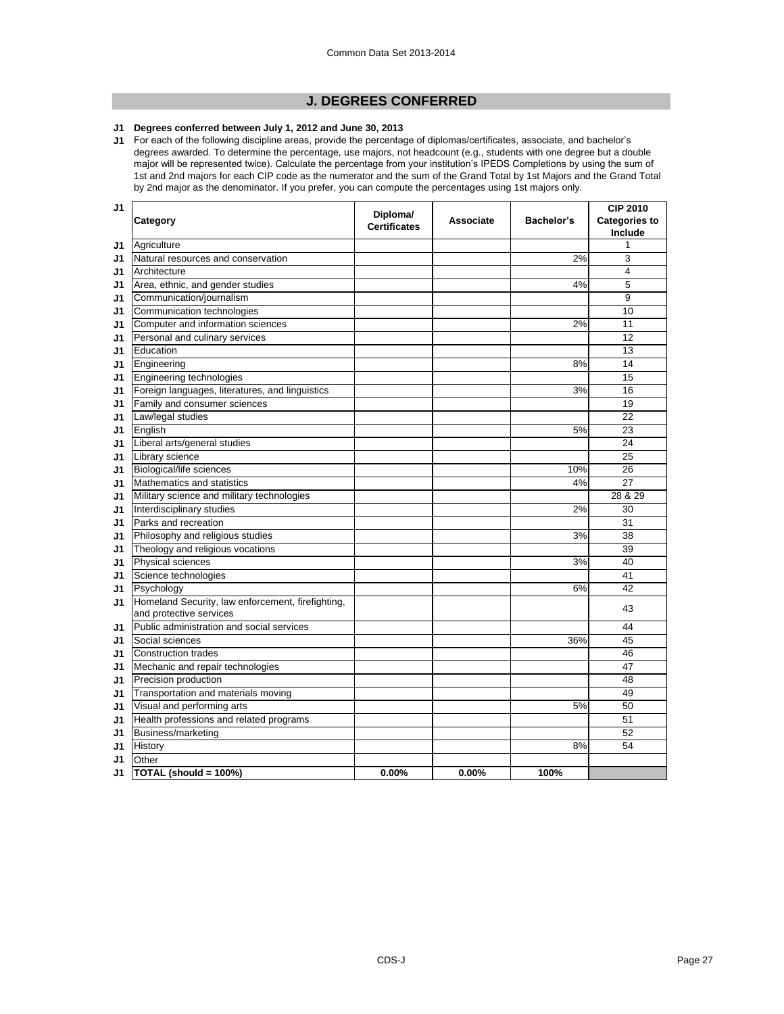## **J. DEGREES CONFERRED**

#### **J1 Degrees conferred between July 1, 2012 and June 30, 2013**

**J1** For each of the following discipline areas, provide the percentage of diplomas/certificates, associate, and bachelor's degrees awarded. To determine the percentage, use majors, not headcount (e.g., students with one degree but a double major will be represented twice). Calculate the percentage from your institution's IPEDS Completions by using the sum of 1st and 2nd majors for each CIP code as the numerator and the sum of the Grand Total by 1st Majors and the Grand Total by 2nd major as the denominator. If you prefer, you can compute the percentages using 1st majors only.

| J1 |                                                                              | Diploma/            |           |                   | <b>CIP 2010</b>                 |
|----|------------------------------------------------------------------------------|---------------------|-----------|-------------------|---------------------------------|
|    | Category                                                                     | <b>Certificates</b> | Associate | <b>Bachelor's</b> | <b>Categories to</b><br>Include |
| J1 | Agriculture                                                                  |                     |           |                   |                                 |
| J1 | Natural resources and conservation                                           |                     |           | 2%                | 3                               |
| J1 | Architecture                                                                 |                     |           |                   | 4                               |
| J1 | Area, ethnic, and gender studies                                             |                     |           | 4%                | 5                               |
| J1 | Communication/journalism                                                     |                     |           |                   | 9                               |
| J1 | Communication technologies                                                   |                     |           |                   | 10                              |
| J1 | Computer and information sciences                                            |                     |           | 2%                | 11                              |
| J1 | Personal and culinary services                                               |                     |           |                   | 12                              |
| J1 | Education                                                                    |                     |           |                   | 13                              |
| J1 | Engineering                                                                  |                     |           | 8%                | 14                              |
| J1 | Engineering technologies                                                     |                     |           |                   | 15                              |
| J1 | Foreign languages, literatures, and linguistics                              |                     |           | 3%                | 16                              |
| J1 | Family and consumer sciences                                                 |                     |           |                   | 19                              |
| J1 | Law/legal studies                                                            |                     |           |                   | 22                              |
| J1 | English                                                                      |                     |           | 5%                | 23                              |
| J1 | Liberal arts/general studies                                                 |                     |           |                   | 24                              |
| J1 | Library science                                                              |                     |           |                   | 25                              |
| J1 | Biological/life sciences                                                     |                     |           | 10%               | 26                              |
| J1 | Mathematics and statistics                                                   |                     |           | 4%                | 27                              |
| J1 | Military science and military technologies                                   |                     |           |                   | 28 & 29                         |
| J1 | Interdisciplinary studies                                                    |                     |           | 2%                | 30                              |
| J1 | Parks and recreation                                                         |                     |           |                   | 31                              |
| J1 | Philosophy and religious studies                                             |                     |           | 3%                | 38                              |
| J1 | Theology and religious vocations                                             |                     |           |                   | 39                              |
| J1 | Physical sciences                                                            |                     |           | 3%                | 40                              |
| J1 | Science technologies                                                         |                     |           |                   | 41                              |
| J1 | Psychology                                                                   |                     |           | 6%                | 42                              |
| J1 | Homeland Security, law enforcement, firefighting,<br>and protective services |                     |           |                   | 43                              |
| J1 | Public administration and social services                                    |                     |           |                   | 44                              |
| J1 | Social sciences                                                              |                     |           | 36%               | 45                              |
| J1 | <b>Construction trades</b>                                                   |                     |           |                   | 46                              |
| J1 | Mechanic and repair technologies                                             |                     |           |                   | 47                              |
| J1 | Precision production                                                         |                     |           |                   | 48                              |
| J1 | Transportation and materials moving                                          |                     |           |                   | 49                              |
| J1 | Visual and performing arts                                                   |                     |           | 5%                | 50                              |
| J1 | Health professions and related programs                                      |                     |           |                   | 51                              |
| J1 | Business/marketing                                                           |                     |           |                   | 52                              |
| J1 | History                                                                      |                     |           | 8%                | 54                              |
| J1 | Other                                                                        |                     |           |                   |                                 |
| J1 | TOTAL (should = 100%)                                                        | 0.00%               | $0.00\%$  | 100%              |                                 |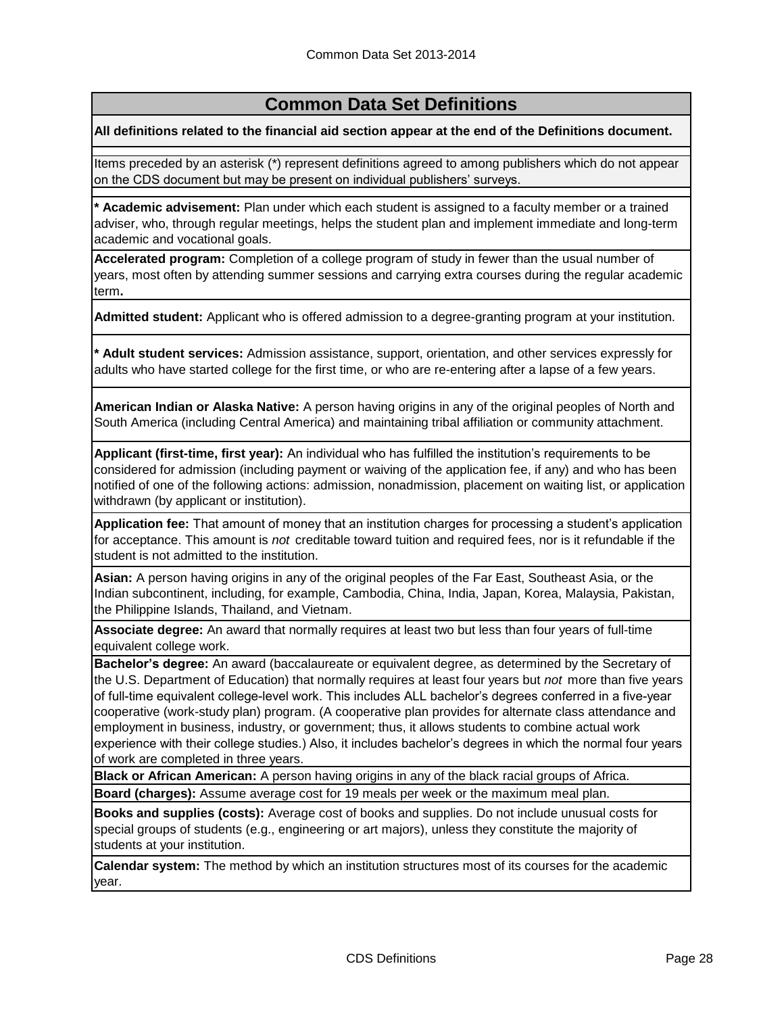# **Common Data Set Definitions**

**All definitions related to the financial aid section appear at the end of the Definitions document.**

Items preceded by an asterisk (\*) represent definitions agreed to among publishers which do not appear on the CDS document but may be present on individual publishers' surveys.

**\* Academic advisement:** Plan under which each student is assigned to a faculty member or a trained adviser, who, through regular meetings, helps the student plan and implement immediate and long-term academic and vocational goals.

**Accelerated program:** Completion of a college program of study in fewer than the usual number of years, most often by attending summer sessions and carrying extra courses during the regular academic term**.**

**Admitted student:** Applicant who is offered admission to a degree-granting program at your institution.

**\* Adult student services:** Admission assistance, support, orientation, and other services expressly for adults who have started college for the first time, or who are re-entering after a lapse of a few years.

**American Indian or Alaska Native:** A person having origins in any of the original peoples of North and South America (including Central America) and maintaining tribal affiliation or community attachment.

**Applicant (first-time, first year):** An individual who has fulfilled the institution's requirements to be considered for admission (including payment or waiving of the application fee, if any) and who has been notified of one of the following actions: admission, nonadmission, placement on waiting list, or application withdrawn (by applicant or institution).

**Application fee:** That amount of money that an institution charges for processing a student's application for acceptance. This amount is *not* creditable toward tuition and required fees, nor is it refundable if the student is not admitted to the institution.

**Asian:** A person having origins in any of the original peoples of the Far East, Southeast Asia, or the Indian subcontinent, including, for example, Cambodia, China, India, Japan, Korea, Malaysia, Pakistan, the Philippine Islands, Thailand, and Vietnam.

**Associate degree:** An award that normally requires at least two but less than four years of full-time equivalent college work.

**Bachelor's degree:** An award (baccalaureate or equivalent degree, as determined by the Secretary of the U.S. Department of Education) that normally requires at least four years but *not* more than five years of full-time equivalent college-level work. This includes ALL bachelor's degrees conferred in a five-year cooperative (work-study plan) program. (A cooperative plan provides for alternate class attendance and employment in business, industry, or government; thus, it allows students to combine actual work experience with their college studies.) Also, it includes bachelor's degrees in which the normal four years of work are completed in three years.

**Black or African American:** A person having origins in any of the black racial groups of Africa.

**Board (charges):** Assume average cost for 19 meals per week or the maximum meal plan.

**Books and supplies (costs):** Average cost of books and supplies. Do not include unusual costs for special groups of students (e.g., engineering or art majors), unless they constitute the majority of students at your institution.

**Calendar system:** The method by which an institution structures most of its courses for the academic year.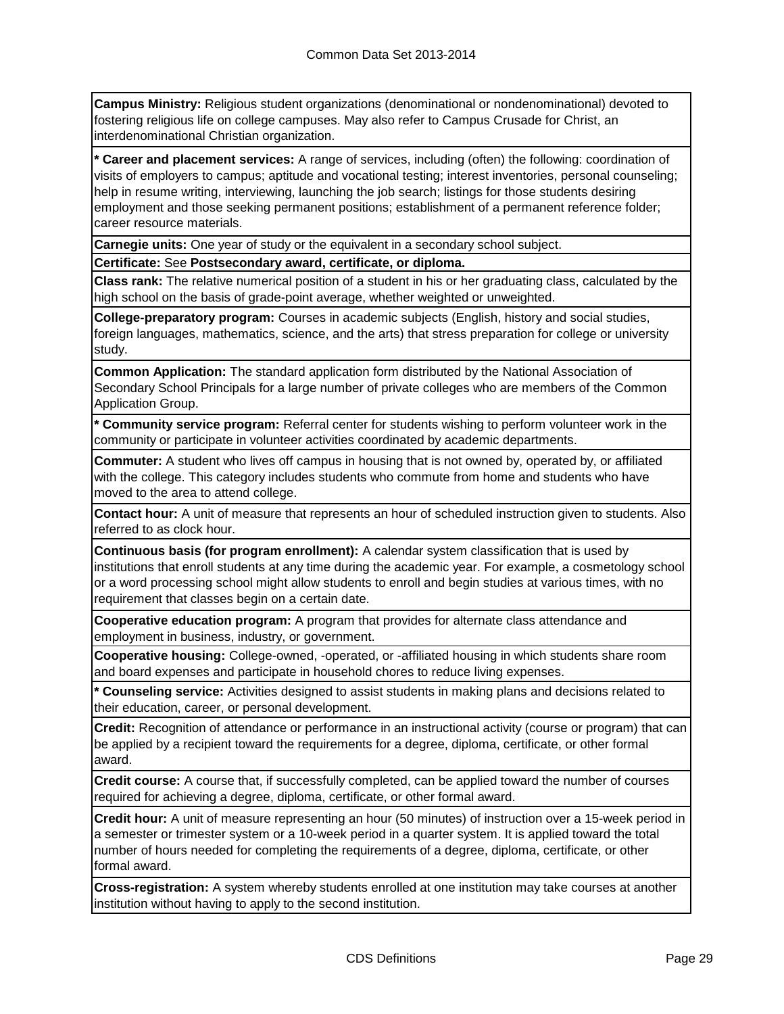**Campus Ministry:** Religious student organizations (denominational or nondenominational) devoted to fostering religious life on college campuses. May also refer to Campus Crusade for Christ, an interdenominational Christian organization.

**\* Career and placement services:** A range of services, including (often) the following: coordination of visits of employers to campus; aptitude and vocational testing; interest inventories, personal counseling; help in resume writing, interviewing, launching the job search; listings for those students desiring employment and those seeking permanent positions; establishment of a permanent reference folder; career resource materials.

**Carnegie units:** One year of study or the equivalent in a secondary school subject.

**Certificate:** See **Postsecondary award, certificate, or diploma.**

**Class rank:** The relative numerical position of a student in his or her graduating class, calculated by the high school on the basis of grade-point average, whether weighted or unweighted.

**College-preparatory program:** Courses in academic subjects (English, history and social studies, foreign languages, mathematics, science, and the arts) that stress preparation for college or university study.

**Common Application:** The standard application form distributed by the National Association of Secondary School Principals for a large number of private colleges who are members of the Common Application Group.

**\* Community service program:** Referral center for students wishing to perform volunteer work in the community or participate in volunteer activities coordinated by academic departments.

**Commuter:** A student who lives off campus in housing that is not owned by, operated by, or affiliated with the college. This category includes students who commute from home and students who have moved to the area to attend college.

**Contact hour:** A unit of measure that represents an hour of scheduled instruction given to students. Also referred to as clock hour.

**Continuous basis (for program enrollment):** A calendar system classification that is used by institutions that enroll students at any time during the academic year. For example, a cosmetology school or a word processing school might allow students to enroll and begin studies at various times, with no requirement that classes begin on a certain date.

**Cooperative education program:** A program that provides for alternate class attendance and employment in business, industry, or government.

**Cooperative housing:** College-owned, -operated, or -affiliated housing in which students share room and board expenses and participate in household chores to reduce living expenses.

**\* Counseling service:** Activities designed to assist students in making plans and decisions related to their education, career, or personal development.

**Credit:** Recognition of attendance or performance in an instructional activity (course or program) that can be applied by a recipient toward the requirements for a degree, diploma, certificate, or other formal award.

**Credit course:** A course that, if successfully completed, can be applied toward the number of courses required for achieving a degree, diploma, certificate, or other formal award.

**Credit hour:** A unit of measure representing an hour (50 minutes) of instruction over a 15-week period in a semester or trimester system or a 10-week period in a quarter system. It is applied toward the total number of hours needed for completing the requirements of a degree, diploma, certificate, or other formal award.

**Cross-registration:** A system whereby students enrolled at one institution may take courses at another institution without having to apply to the second institution.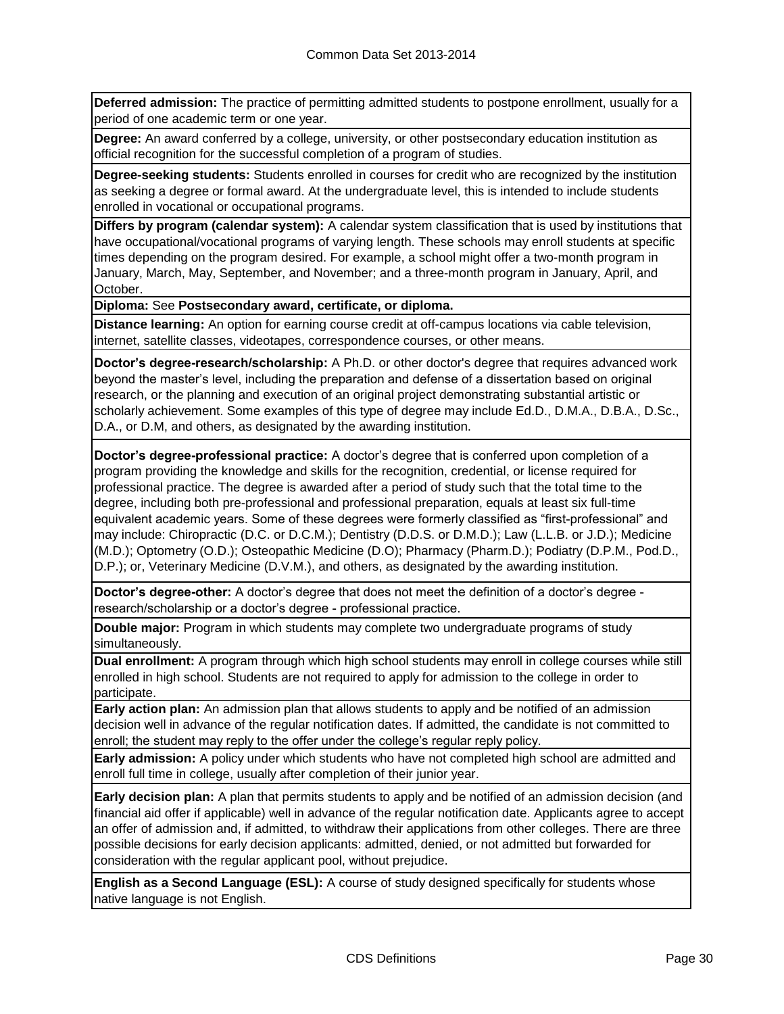**Deferred admission:** The practice of permitting admitted students to postpone enrollment, usually for a period of one academic term or one year.

**Degree:** An award conferred by a college, university, or other postsecondary education institution as official recognition for the successful completion of a program of studies.

**Degree-seeking students:** Students enrolled in courses for credit who are recognized by the institution as seeking a degree or formal award. At the undergraduate level, this is intended to include students enrolled in vocational or occupational programs.

**Differs by program (calendar system):** A calendar system classification that is used by institutions that have occupational/vocational programs of varying length. These schools may enroll students at specific times depending on the program desired. For example, a school might offer a two-month program in January, March, May, September, and November; and a three-month program in January, April, and October.

**Diploma:** See **Postsecondary award, certificate, or diploma.**

**Distance learning:** An option for earning course credit at off-campus locations via cable television, internet, satellite classes, videotapes, correspondence courses, or other means.

**Doctor's degree-research/scholarship:** A Ph.D. or other doctor's degree that requires advanced work beyond the master's level, including the preparation and defense of a dissertation based on original research, or the planning and execution of an original project demonstrating substantial artistic or scholarly achievement. Some examples of this type of degree may include Ed.D., D.M.A., D.B.A., D.Sc., D.A., or D.M, and others, as designated by the awarding institution.

**Doctor's degree-professional practice:** A doctor's degree that is conferred upon completion of a program providing the knowledge and skills for the recognition, credential, or license required for professional practice. The degree is awarded after a period of study such that the total time to the degree, including both pre-professional and professional preparation, equals at least six full-time equivalent academic years. Some of these degrees were formerly classified as "first-professional" and may include: Chiropractic (D.C. or D.C.M.); Dentistry (D.D.S. or D.M.D.); Law (L.L.B. or J.D.); Medicine (M.D.); Optometry (O.D.); Osteopathic Medicine (D.O); Pharmacy (Pharm.D.); Podiatry (D.P.M., Pod.D., D.P.); or, Veterinary Medicine (D.V.M.), and others, as designated by the awarding institution.

**Doctor's degree-other:** A doctor's degree that does not meet the definition of a doctor's degree research/scholarship or a doctor's degree - professional practice.

**Double major:** Program in which students may complete two undergraduate programs of study simultaneously.

**Dual enrollment:** A program through which high school students may enroll in college courses while still enrolled in high school. Students are not required to apply for admission to the college in order to participate.

**Early action plan:** An admission plan that allows students to apply and be notified of an admission decision well in advance of the regular notification dates. If admitted, the candidate is not committed to enroll; the student may reply to the offer under the college's regular reply policy.

**Early admission:** A policy under which students who have not completed high school are admitted and enroll full time in college, usually after completion of their junior year.

**Early decision plan:** A plan that permits students to apply and be notified of an admission decision (and financial aid offer if applicable) well in advance of the regular notification date. Applicants agree to accept an offer of admission and, if admitted, to withdraw their applications from other colleges. There are three possible decisions for early decision applicants: admitted, denied, or not admitted but forwarded for consideration with the regular applicant pool, without prejudice.

**English as a Second Language (ESL):** A course of study designed specifically for students whose native language is not English.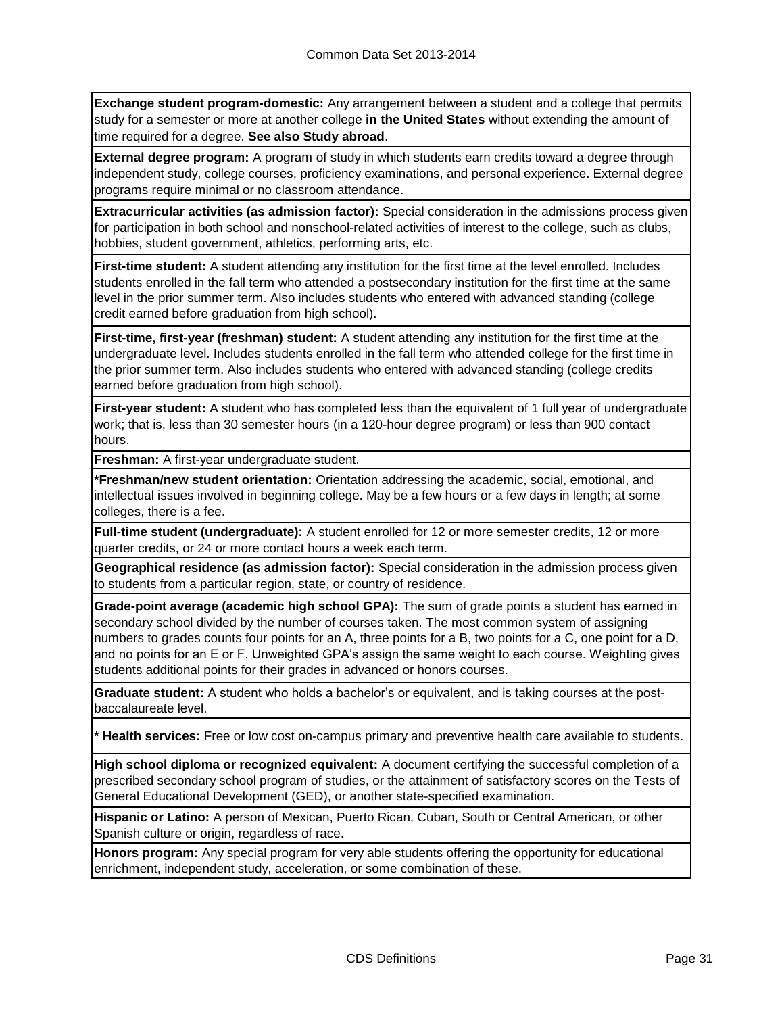**Exchange student program-domestic:** Any arrangement between a student and a college that permits study for a semester or more at another college **in the United States** without extending the amount of time required for a degree. **See also Study abroad**.

**External degree program:** A program of study in which students earn credits toward a degree through independent study, college courses, proficiency examinations, and personal experience. External degree programs require minimal or no classroom attendance.

**Extracurricular activities (as admission factor):** Special consideration in the admissions process given for participation in both school and nonschool-related activities of interest to the college, such as clubs, hobbies, student government, athletics, performing arts, etc.

**First-time student:** A student attending any institution for the first time at the level enrolled. Includes students enrolled in the fall term who attended a postsecondary institution for the first time at the same level in the prior summer term. Also includes students who entered with advanced standing (college credit earned before graduation from high school).

**First-time, first-year (freshman) student:** A student attending any institution for the first time at the undergraduate level. Includes students enrolled in the fall term who attended college for the first time in the prior summer term. Also includes students who entered with advanced standing (college credits earned before graduation from high school).

**First-year student:** A student who has completed less than the equivalent of 1 full year of undergraduate work; that is, less than 30 semester hours (in a 120-hour degree program) or less than 900 contact hours.

**Freshman:** A first-year undergraduate student.

**\*Freshman/new student orientation:** Orientation addressing the academic, social, emotional, and intellectual issues involved in beginning college. May be a few hours or a few days in length; at some colleges, there is a fee.

**Full-time student (undergraduate):** A student enrolled for 12 or more semester credits, 12 or more quarter credits, or 24 or more contact hours a week each term.

**Geographical residence (as admission factor):** Special consideration in the admission process given to students from a particular region, state, or country of residence.

**Grade-point average (academic high school GPA):** The sum of grade points a student has earned in secondary school divided by the number of courses taken. The most common system of assigning numbers to grades counts four points for an A, three points for a B, two points for a C, one point for a D, and no points for an E or F. Unweighted GPA's assign the same weight to each course. Weighting gives students additional points for their grades in advanced or honors courses.

**Graduate student:** A student who holds a bachelor's or equivalent, and is taking courses at the postbaccalaureate level.

**\* Health services:** Free or low cost on-campus primary and preventive health care available to students.

**High school diploma or recognized equivalent:** A document certifying the successful completion of a prescribed secondary school program of studies, or the attainment of satisfactory scores on the Tests of General Educational Development (GED), or another state-specified examination.

**Hispanic or Latino:** A person of Mexican, Puerto Rican, Cuban, South or Central American, or other Spanish culture or origin, regardless of race.

**Honors program:** Any special program for very able students offering the opportunity for educational enrichment, independent study, acceleration, or some combination of these.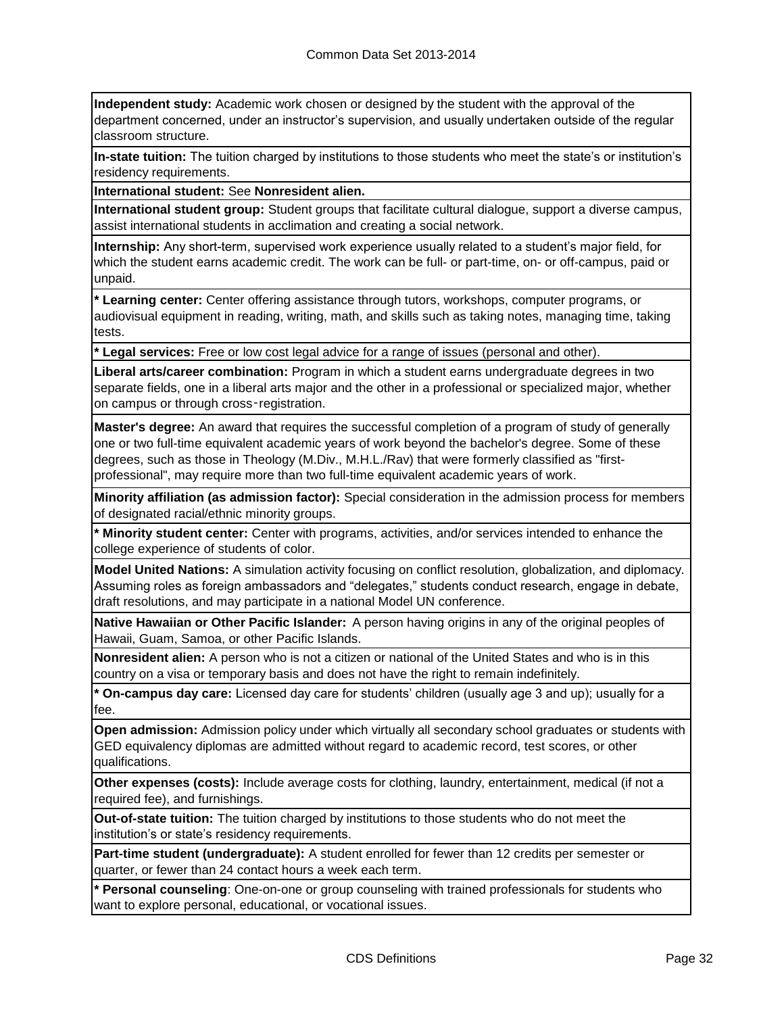**Independent study:** Academic work chosen or designed by the student with the approval of the department concerned, under an instructor's supervision, and usually undertaken outside of the regular classroom structure.

**In-state tuition:** The tuition charged by institutions to those students who meet the state's or institution's residency requirements.

**International student:** See **Nonresident alien.**

**International student group:** Student groups that facilitate cultural dialogue, support a diverse campus, assist international students in acclimation and creating a social network.

**Internship:** Any short-term, supervised work experience usually related to a student's major field, for which the student earns academic credit. The work can be full- or part-time, on- or off-campus, paid or unpaid.

**\* Learning center:** Center offering assistance through tutors, workshops, computer programs, or audiovisual equipment in reading, writing, math, and skills such as taking notes, managing time, taking tests.

**\* Legal services:** Free or low cost legal advice for a range of issues (personal and other).

**Liberal arts/career combination:** Program in which a student earns undergraduate degrees in two separate fields, one in a liberal arts major and the other in a professional or specialized major, whether on campus or through cross‑registration.

**Master's degree:** An award that requires the successful completion of a program of study of generally one or two full-time equivalent academic years of work beyond the bachelor's degree. Some of these degrees, such as those in Theology (M.Div., M.H.L./Rav) that were formerly classified as "firstprofessional", may require more than two full-time equivalent academic years of work.

**Minority affiliation (as admission factor):** Special consideration in the admission process for members of designated racial/ethnic minority groups.

**\* Minority student center:** Center with programs, activities, and/or services intended to enhance the college experience of students of color.

**Model United Nations:** A simulation activity focusing on conflict resolution, globalization, and diplomacy. Assuming roles as foreign ambassadors and "delegates," students conduct research, engage in debate, draft resolutions, and may participate in a national Model UN conference.

**Native Hawaiian or Other Pacific Islander:** A person having origins in any of the original peoples of Hawaii, Guam, Samoa, or other Pacific Islands.

**Nonresident alien:** A person who is not a citizen or national of the United States and who is in this country on a visa or temporary basis and does not have the right to remain indefinitely.

**\* On-campus day care:** Licensed day care for students' children (usually age 3 and up); usually for a fee.

**Open admission:** Admission policy under which virtually all secondary school graduates or students with GED equivalency diplomas are admitted without regard to academic record, test scores, or other qualifications.

**Other expenses (costs):** Include average costs for clothing, laundry, entertainment, medical (if not a required fee), and furnishings.

**Out-of-state tuition:** The tuition charged by institutions to those students who do not meet the institution's or state's residency requirements.

**Part-time student (undergraduate):** A student enrolled for fewer than 12 credits per semester or quarter, or fewer than 24 contact hours a week each term.

**\* Personal counseling**: One-on-one or group counseling with trained professionals for students who want to explore personal, educational, or vocational issues.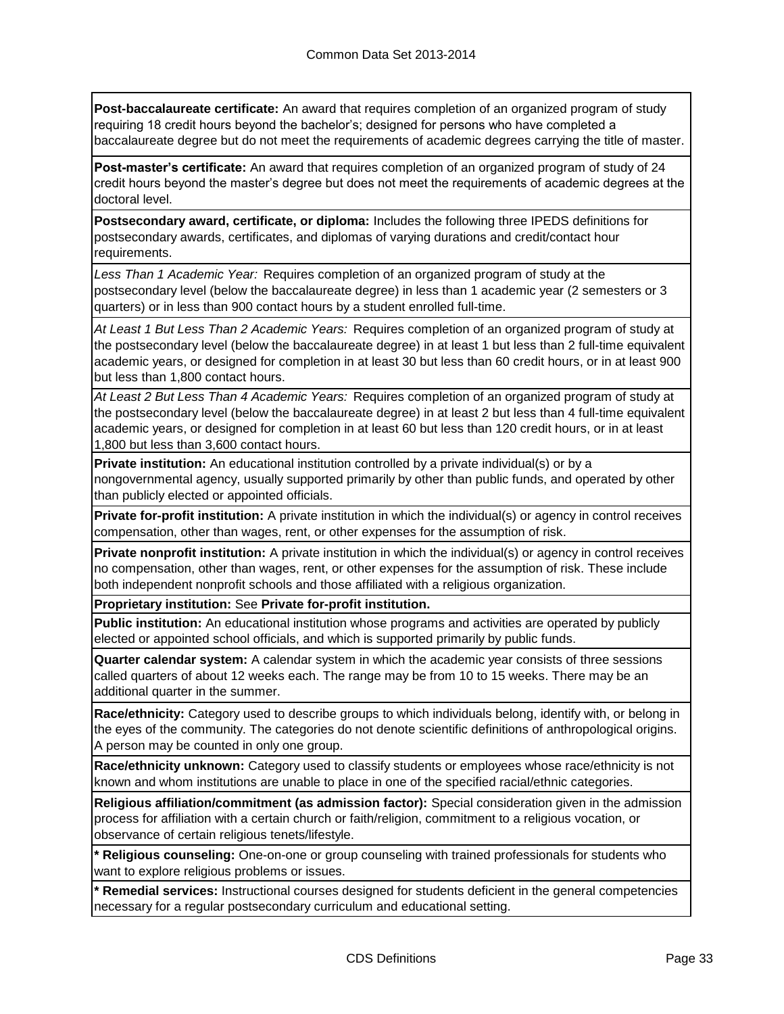**Post-baccalaureate certificate:** An award that requires completion of an organized program of study requiring 18 credit hours beyond the bachelor's; designed for persons who have completed a baccalaureate degree but do not meet the requirements of academic degrees carrying the title of master.

**Post-master's certificate:** An award that requires completion of an organized program of study of 24 credit hours beyond the master's degree but does not meet the requirements of academic degrees at the doctoral level.

**Postsecondary award, certificate, or diploma:** Includes the following three IPEDS definitions for postsecondary awards, certificates, and diplomas of varying durations and credit/contact hour requirements.

*Less Than 1 Academic Year:* Requires completion of an organized program of study at the postsecondary level (below the baccalaureate degree) in less than 1 academic year (2 semesters or 3 quarters) or in less than 900 contact hours by a student enrolled full-time.

*At Least 1 But Less Than 2 Academic Years:* Requires completion of an organized program of study at the postsecondary level (below the baccalaureate degree) in at least 1 but less than 2 full-time equivalent academic years, or designed for completion in at least 30 but less than 60 credit hours, or in at least 900 but less than 1,800 contact hours.

*At Least 2 But Less Than 4 Academic Years:* Requires completion of an organized program of study at the postsecondary level (below the baccalaureate degree) in at least 2 but less than 4 full-time equivalent academic years, or designed for completion in at least 60 but less than 120 credit hours, or in at least 1,800 but less than 3,600 contact hours.

**Private institution:** An educational institution controlled by a private individual(s) or by a nongovernmental agency, usually supported primarily by other than public funds, and operated by other than publicly elected or appointed officials.

**Private for-profit institution:** A private institution in which the individual(s) or agency in control receives compensation, other than wages, rent, or other expenses for the assumption of risk.

**Private nonprofit institution:** A private institution in which the individual(s) or agency in control receives no compensation, other than wages, rent, or other expenses for the assumption of risk. These include both independent nonprofit schools and those affiliated with a religious organization.

**Proprietary institution:** See **Private for-profit institution.**

**Public institution:** An educational institution whose programs and activities are operated by publicly elected or appointed school officials, and which is supported primarily by public funds.

**Quarter calendar system:** A calendar system in which the academic year consists of three sessions called quarters of about 12 weeks each. The range may be from 10 to 15 weeks. There may be an additional quarter in the summer.

**Race/ethnicity:** Category used to describe groups to which individuals belong, identify with, or belong in the eyes of the community. The categories do not denote scientific definitions of anthropological origins. A person may be counted in only one group.

**Race/ethnicity unknown:** Category used to classify students or employees whose race/ethnicity is not known and whom institutions are unable to place in one of the specified racial/ethnic categories.

**Religious affiliation/commitment (as admission factor):** Special consideration given in the admission process for affiliation with a certain church or faith/religion, commitment to a religious vocation, or observance of certain religious tenets/lifestyle.

**\* Religious counseling:** One-on-one or group counseling with trained professionals for students who want to explore religious problems or issues.

**\* Remedial services:** Instructional courses designed for students deficient in the general competencies necessary for a regular postsecondary curriculum and educational setting.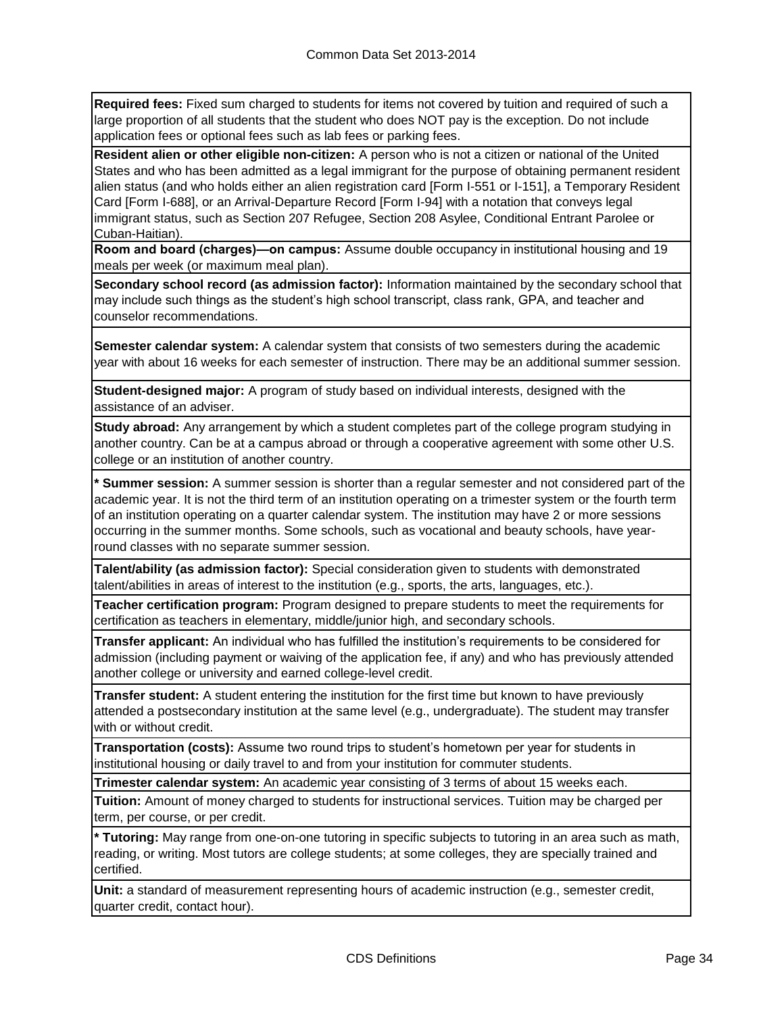**Required fees:** Fixed sum charged to students for items not covered by tuition and required of such a large proportion of all students that the student who does NOT pay is the exception. Do not include application fees or optional fees such as lab fees or parking fees.

**Resident alien or other eligible non-citizen:** A person who is not a citizen or national of the United States and who has been admitted as a legal immigrant for the purpose of obtaining permanent resident alien status (and who holds either an alien registration card [Form I-551 or I-151], a Temporary Resident Card [Form I-688], or an Arrival-Departure Record [Form I-94] with a notation that conveys legal immigrant status, such as Section 207 Refugee, Section 208 Asylee, Conditional Entrant Parolee or Cuban-Haitian).

**Room and board (charges)—on campus:** Assume double occupancy in institutional housing and 19 meals per week (or maximum meal plan).

**Secondary school record (as admission factor):** Information maintained by the secondary school that may include such things as the student's high school transcript, class rank, GPA, and teacher and counselor recommendations.

**Semester calendar system:** A calendar system that consists of two semesters during the academic year with about 16 weeks for each semester of instruction. There may be an additional summer session.

**Student-designed major:** A program of study based on individual interests, designed with the assistance of an adviser.

**Study abroad:** Any arrangement by which a student completes part of the college program studying in another country. Can be at a campus abroad or through a cooperative agreement with some other U.S. college or an institution of another country.

**\* Summer session:** A summer session is shorter than a regular semester and not considered part of the academic year. It is not the third term of an institution operating on a trimester system or the fourth term of an institution operating on a quarter calendar system. The institution may have 2 or more sessions occurring in the summer months. Some schools, such as vocational and beauty schools, have yearround classes with no separate summer session.

**Talent/ability (as admission factor):** Special consideration given to students with demonstrated talent/abilities in areas of interest to the institution (e.g., sports, the arts, languages, etc.).

**Teacher certification program:** Program designed to prepare students to meet the requirements for certification as teachers in elementary, middle/junior high, and secondary schools.

**Transfer applicant:** An individual who has fulfilled the institution's requirements to be considered for admission (including payment or waiving of the application fee, if any) and who has previously attended another college or university and earned college-level credit.

**Transfer student:** A student entering the institution for the first time but known to have previously attended a postsecondary institution at the same level (e.g., undergraduate). The student may transfer with or without credit.

**Transportation (costs):** Assume two round trips to student's hometown per year for students in institutional housing or daily travel to and from your institution for commuter students.

**Trimester calendar system:** An academic year consisting of 3 terms of about 15 weeks each.

**Tuition:** Amount of money charged to students for instructional services. Tuition may be charged per term, per course, or per credit.

**\* Tutoring:** May range from one-on-one tutoring in specific subjects to tutoring in an area such as math, reading, or writing. Most tutors are college students; at some colleges, they are specially trained and certified.

**Unit:** a standard of measurement representing hours of academic instruction (e.g., semester credit, quarter credit, contact hour).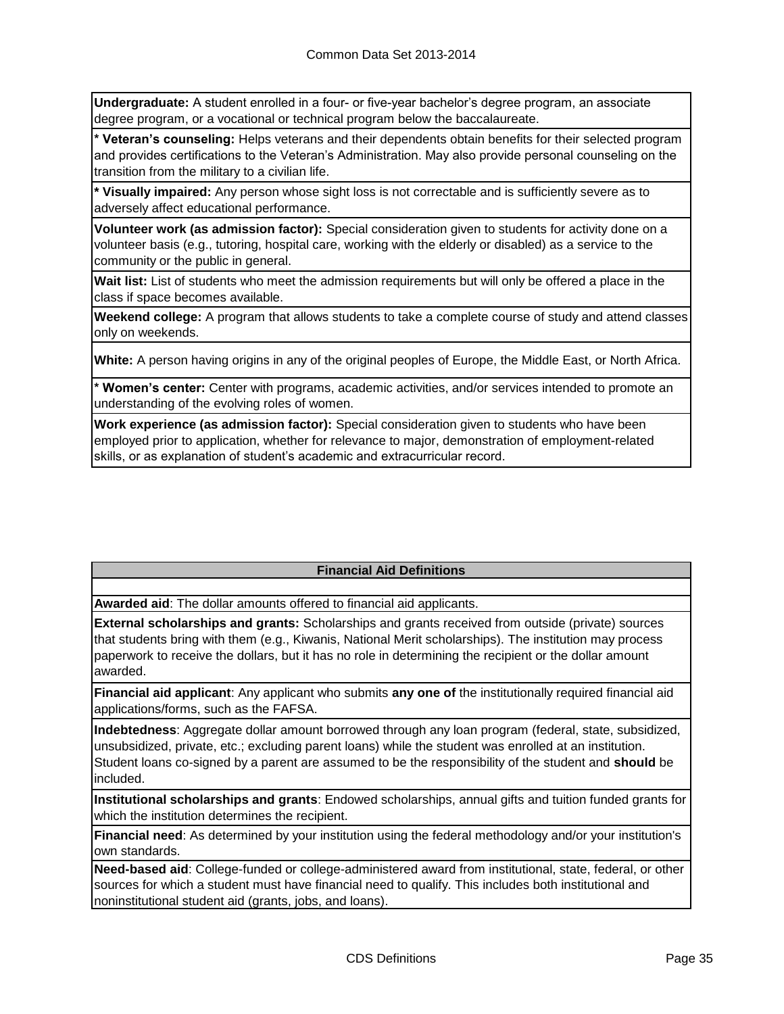**Undergraduate:** A student enrolled in a four- or five-year bachelor's degree program, an associate degree program, or a vocational or technical program below the baccalaureate.

**\* Veteran's counseling:** Helps veterans and their dependents obtain benefits for their selected program and provides certifications to the Veteran's Administration. May also provide personal counseling on the transition from the military to a civilian life.

**\* Visually impaired:** Any person whose sight loss is not correctable and is sufficiently severe as to adversely affect educational performance.

**Volunteer work (as admission factor):** Special consideration given to students for activity done on a volunteer basis (e.g., tutoring, hospital care, working with the elderly or disabled) as a service to the community or the public in general.

**Wait list:** List of students who meet the admission requirements but will only be offered a place in the class if space becomes available.

**Weekend college:** A program that allows students to take a complete course of study and attend classes only on weekends.

**White:** A person having origins in any of the original peoples of Europe, the Middle East, or North Africa.

**\* Women's center:** Center with programs, academic activities, and/or services intended to promote an understanding of the evolving roles of women.

**Work experience (as admission factor):** Special consideration given to students who have been employed prior to application, whether for relevance to major, demonstration of employment-related skills, or as explanation of student's academic and extracurricular record.

## **Financial Aid Definitions**

**Awarded aid**: The dollar amounts offered to financial aid applicants.

**External scholarships and grants:** Scholarships and grants received from outside (private) sources that students bring with them (e.g., Kiwanis, National Merit scholarships). The institution may process paperwork to receive the dollars, but it has no role in determining the recipient or the dollar amount awarded.

**Financial aid applicant**: Any applicant who submits **any one of** the institutionally required financial aid applications/forms, such as the FAFSA.

**Indebtedness**: Aggregate dollar amount borrowed through any loan program (federal, state, subsidized, unsubsidized, private, etc.; excluding parent loans) while the student was enrolled at an institution. Student loans co-signed by a parent are assumed to be the responsibility of the student and **should** be included.

**Institutional scholarships and grants**: Endowed scholarships, annual gifts and tuition funded grants for which the institution determines the recipient.

**Financial need**: As determined by your institution using the federal methodology and/or your institution's own standards.

**Need-based aid**: College-funded or college-administered award from institutional, state, federal, or other sources for which a student must have financial need to qualify. This includes both institutional and noninstitutional student aid (grants, jobs, and loans).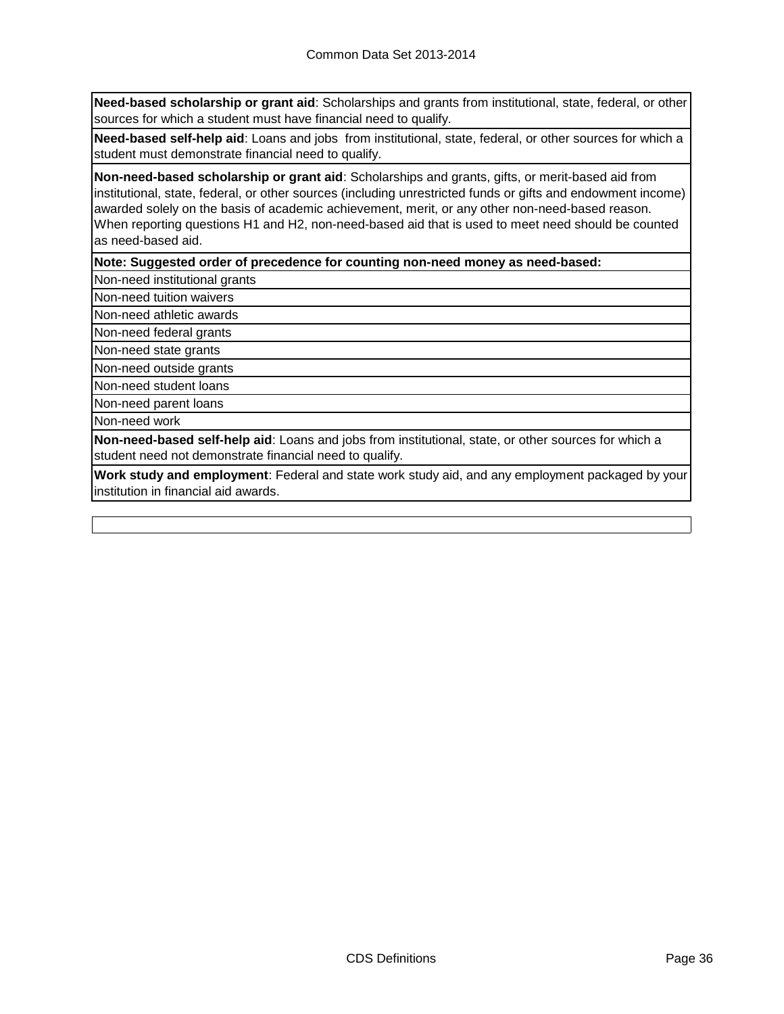**Need-based scholarship or grant aid**: Scholarships and grants from institutional, state, federal, or other sources for which a student must have financial need to qualify.

**Need-based self-help aid**: Loans and jobs from institutional, state, federal, or other sources for which a student must demonstrate financial need to qualify.

**Non-need-based scholarship or grant aid**: Scholarships and grants, gifts, or merit-based aid from institutional, state, federal, or other sources (including unrestricted funds or gifts and endowment income) awarded solely on the basis of academic achievement, merit, or any other non-need-based reason. When reporting questions H1 and H2, non-need-based aid that is used to meet need should be counted as need-based aid.

**Note: Suggested order of precedence for counting non-need money as need-based:**

Non-need institutional grants

Non-need tuition waivers

Non-need athletic awards

Non-need federal grants

Non-need state grants

Non-need outside grants

Non-need student loans

Non-need parent loans

Non-need work

**Non-need-based self-help aid**: Loans and jobs from institutional, state, or other sources for which a student need not demonstrate financial need to qualify.

**Work study and employment**: Federal and state work study aid, and any employment packaged by your institution in financial aid awards.